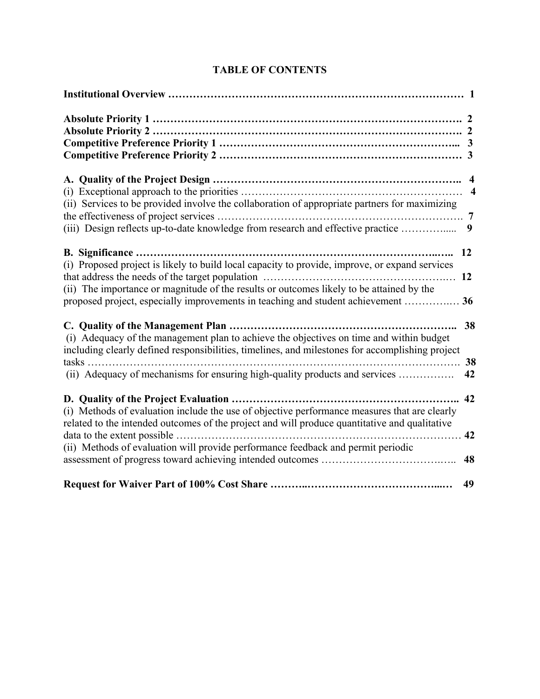| (ii) Services to be provided involve the collaboration of appropriate partners for maximizing<br>(iii) Design reflects up-to-date knowledge from research and effective practice                                                                                                                   | $\overline{\mathbf{4}}$<br>$\overline{\mathbf{4}}$<br>9 |
|----------------------------------------------------------------------------------------------------------------------------------------------------------------------------------------------------------------------------------------------------------------------------------------------------|---------------------------------------------------------|
| B. Significance<br>(i) Proposed project is likely to build local capacity to provide, improve, or expand services<br>(ii) The importance or magnitude of the results or outcomes likely to be attained by the<br>proposed project, especially improvements in teaching and student achievement  36 | 12<br>12                                                |
| (i) Adequacy of the management plan to achieve the objectives on time and within budget<br>including clearly defined responsibilities, timelines, and milestones for accomplishing project<br>$tasks \dots$<br>(ii) Adequacy of mechanisms for ensuring high-quality products and services         | 38<br>38<br>42                                          |
| (i) Methods of evaluation include the use of objective performance measures that are clearly<br>related to the intended outcomes of the project and will produce quantitative and qualitative<br>.<br>(ii) Methods of evaluation will provide performance feedback and permit periodic             | 42<br>42<br>48                                          |
|                                                                                                                                                                                                                                                                                                    | 49                                                      |

# **TABLE OF CONTENTS**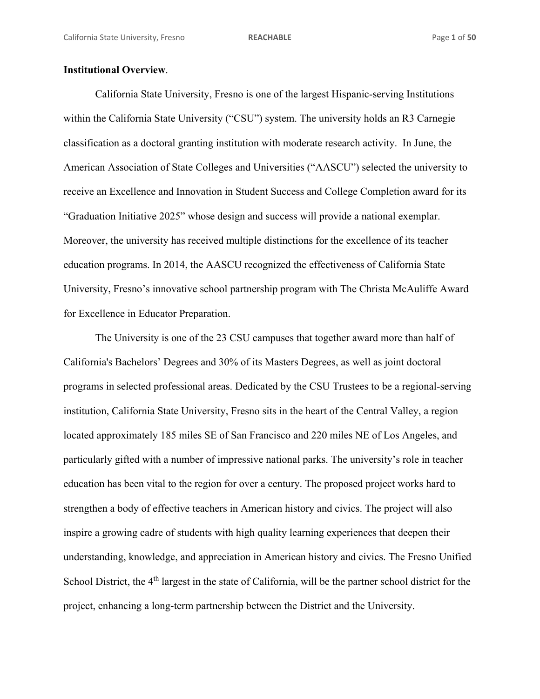## **Institutional Overview**.

California State University, Fresno is one of the largest Hispanic-serving Institutions within the California State University ("CSU") system. The university holds an R3 Carnegie classification as a doctoral granting institution with moderate research activity. In June, the American Association of State Colleges and Universities ("AASCU") selected the university to receive an Excellence and Innovation in Student Success and College Completion award for its "Graduation Initiative 2025" whose design and success will provide a national exemplar. Moreover, the university has received multiple distinctions for the excellence of its teacher education programs. In 2014, the AASCU recognized the effectiveness of California State University, Fresno's innovative school partnership program with The Christa McAuliffe Award for Excellence in Educator Preparation.

The University is one of the 23 CSU campuses that together award more than half of California's Bachelors' Degrees and 30% of its Masters Degrees, as well as joint doctoral programs in selected professional areas. Dedicated by the CSU Trustees to be a regional-serving institution, California State University, Fresno sits in the heart of the Central Valley, a region located approximately 185 miles SE of San Francisco and 220 miles NE of Los Angeles, and particularly gifted with a number of impressive national parks. The university's role in teacher education has been vital to the region for over a century. The proposed project works hard to strengthen a body of effective teachers in American history and civics. The project will also inspire a growing cadre of students with high quality learning experiences that deepen their understanding, knowledge, and appreciation in American history and civics. The Fresno Unified School District, the 4<sup>th</sup> largest in the state of California, will be the partner school district for the project, enhancing a long-term partnership between the District and the University.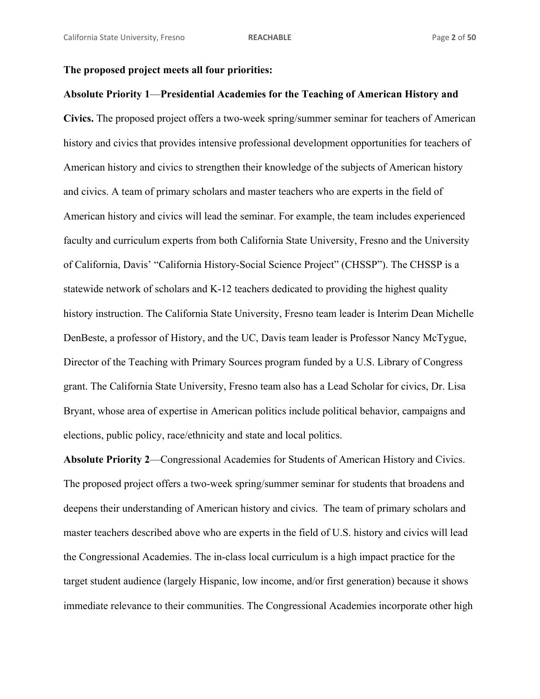## **The proposed project meets all four priorities:**

# **Absolute Priority 1**—**Presidential Academies for the Teaching of American History and**

**Civics.** The proposed project offers a two-week spring/summer seminar for teachers of American history and civics that provides intensive professional development opportunities for teachers of American history and civics to strengthen their knowledge of the subjects of American history and civics. A team of primary scholars and master teachers who are experts in the field of American history and civics will lead the seminar. For example, the team includes experienced faculty and curriculum experts from both California State University, Fresno and the University of California, Davis' "California History-Social Science Project" (CHSSP"). The CHSSP is a statewide network of scholars and K-12 teachers dedicated to providing the highest quality history instruction. The California State University, Fresno team leader is Interim Dean Michelle DenBeste, a professor of History, and the UC, Davis team leader is Professor Nancy McTygue, Director of the Teaching with Primary Sources program funded by a U.S. Library of Congress grant. The California State University, Fresno team also has a Lead Scholar for civics, Dr. Lisa Bryant, whose area of expertise in American politics include political behavior, campaigns and elections, public policy, race/ethnicity and state and local politics.

**Absolute Priority 2**—Congressional Academies for Students of American History and Civics. The proposed project offers a two-week spring/summer seminar for students that broadens and deepens their understanding of American history and civics. The team of primary scholars and master teachers described above who are experts in the field of U.S. history and civics will lead the Congressional Academies. The in-class local curriculum is a high impact practice for the target student audience (largely Hispanic, low income, and/or first generation) because it shows immediate relevance to their communities. The Congressional Academies incorporate other high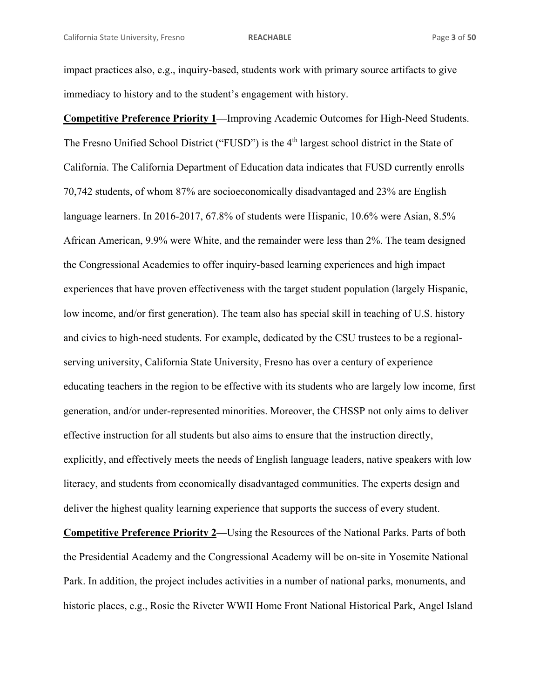impact practices also, e.g., inquiry-based, students work with primary source artifacts to give immediacy to history and to the student's engagement with history.

**Competitive Preference Priority 1—**Improving Academic Outcomes for High-Need Students. The Fresno Unified School District ("FUSD") is the 4<sup>th</sup> largest school district in the State of California. The California Department of Education data indicates that FUSD currently enrolls 70,742 students, of whom 87% are socioeconomically disadvantaged and 23% are English language learners. In 2016-2017, 67.8% of students were Hispanic, 10.6% were Asian, 8.5% African American, 9.9% were White, and the remainder were less than 2%. The team designed the Congressional Academies to offer inquiry-based learning experiences and high impact experiences that have proven effectiveness with the target student population (largely Hispanic, low income, and/or first generation). The team also has special skill in teaching of U.S. history and civics to high-need students. For example, dedicated by the CSU trustees to be a regionalserving university, California State University, Fresno has over a century of experience educating teachers in the region to be effective with its students who are largely low income, first generation, and/or under-represented minorities. Moreover, the CHSSP not only aims to deliver effective instruction for all students but also aims to ensure that the instruction directly, explicitly, and effectively meets the needs of English language leaders, native speakers with low literacy, and students from economically disadvantaged communities. The experts design and deliver the highest quality learning experience that supports the success of every student. **Competitive Preference Priority 2—**Using the Resources of the National Parks. Parts of both the Presidential Academy and the Congressional Academy will be on-site in Yosemite National Park. In addition, the project includes activities in a number of national parks, monuments, and

historic places, e.g., Rosie the Riveter WWII Home Front National Historical Park, Angel Island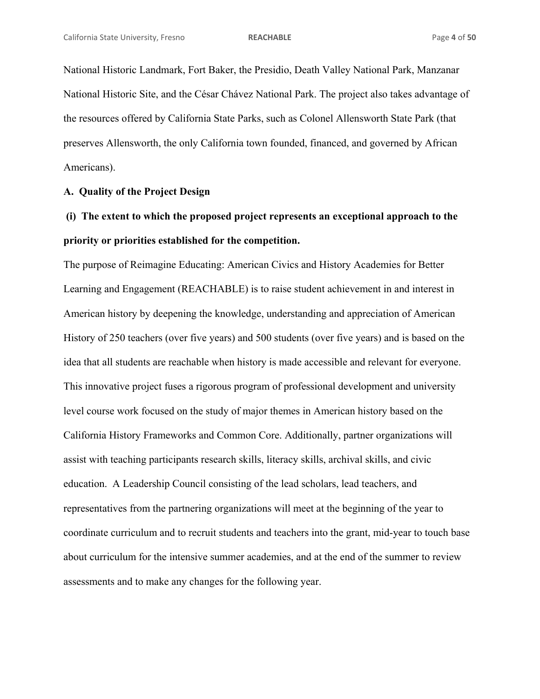National Historic Landmark, Fort Baker, the Presidio, Death Valley National Park, Manzanar National Historic Site, and the César Chávez National Park. The project also takes advantage of the resources offered by California State Parks, such as Colonel Allensworth State Park (that preserves Allensworth, the only California town founded, financed, and governed by African Americans).

## **A. Quality of the Project Design**

# **(i) The extent to which the proposed project represents an exceptional approach to the priority or priorities established for the competition.**

The purpose of Reimagine Educating: American Civics and History Academies for Better Learning and Engagement (REACHABLE) is to raise student achievement in and interest in American history by deepening the knowledge, understanding and appreciation of American History of 250 teachers (over five years) and 500 students (over five years) and is based on the idea that all students are reachable when history is made accessible and relevant for everyone. This innovative project fuses a rigorous program of professional development and university level course work focused on the study of major themes in American history based on the California History Frameworks and Common Core. Additionally, partner organizations will assist with teaching participants research skills, literacy skills, archival skills, and civic education. A Leadership Council consisting of the lead scholars, lead teachers, and representatives from the partnering organizations will meet at the beginning of the year to coordinate curriculum and to recruit students and teachers into the grant, mid-year to touch base about curriculum for the intensive summer academies, and at the end of the summer to review assessments and to make any changes for the following year.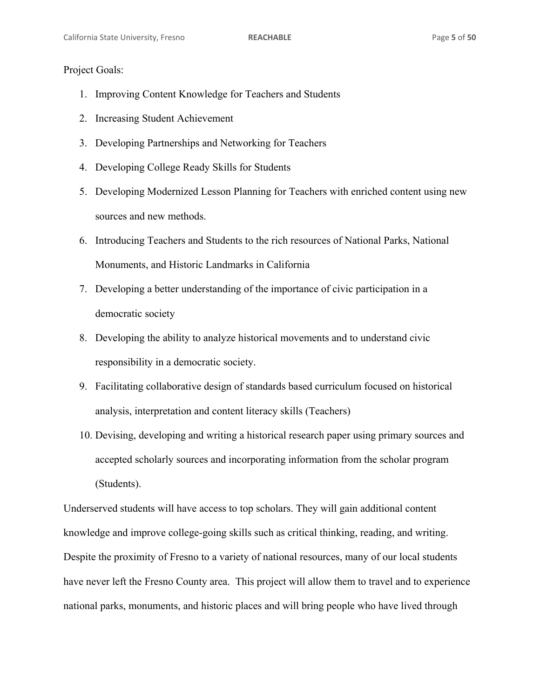## Project Goals:

- 1. Improving Content Knowledge for Teachers and Students
- 2. Increasing Student Achievement
- 3. Developing Partnerships and Networking for Teachers
- 4. Developing College Ready Skills for Students
- 5. Developing Modernized Lesson Planning for Teachers with enriched content using new sources and new methods.
- 6. Introducing Teachers and Students to the rich resources of National Parks, National Monuments, and Historic Landmarks in California
- 7. Developing a better understanding of the importance of civic participation in a democratic society
- 8. Developing the ability to analyze historical movements and to understand civic responsibility in a democratic society.
- 9. Facilitating collaborative design of standards based curriculum focused on historical analysis, interpretation and content literacy skills (Teachers)
- 10. Devising, developing and writing a historical research paper using primary sources and accepted scholarly sources and incorporating information from the scholar program (Students).

Underserved students will have access to top scholars. They will gain additional content knowledge and improve college-going skills such as critical thinking, reading, and writing. Despite the proximity of Fresno to a variety of national resources, many of our local students have never left the Fresno County area. This project will allow them to travel and to experience national parks, monuments, and historic places and will bring people who have lived through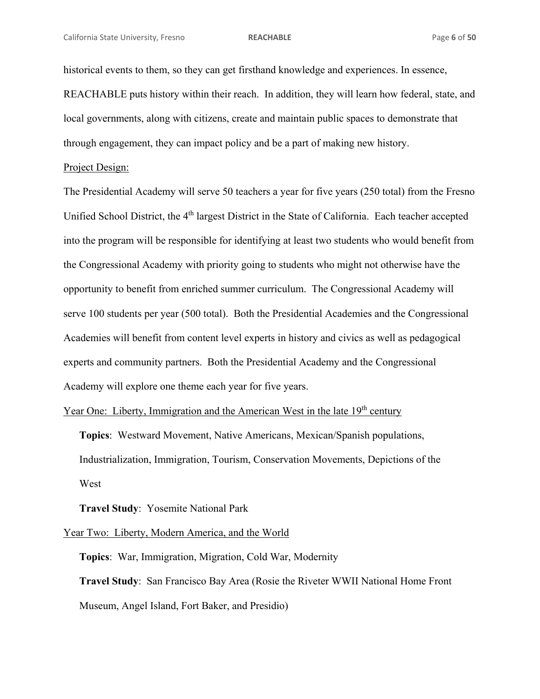historical events to them, so they can get firsthand knowledge and experiences. In essence, REACHABLE puts history within their reach. In addition, they will learn how federal, state, and local governments, along with citizens, create and maintain public spaces to demonstrate that through engagement, they can impact policy and be a part of making new history.

## Project Design:

The Presidential Academy will serve 50 teachers a year for five years (250 total) from the Fresno Unified School District, the 4<sup>th</sup> largest District in the State of California. Each teacher accepted into the program will be responsible for identifying at least two students who would benefit from the Congressional Academy with priority going to students who might not otherwise have the opportunity to benefit from enriched summer curriculum. The Congressional Academy will serve 100 students per year (500 total). Both the Presidential Academies and the Congressional Academies will benefit from content level experts in history and civics as well as pedagogical experts and community partners. Both the Presidential Academy and the Congressional Academy will explore one theme each year for five years.

Year One: Liberty, Immigration and the American West in the late 19<sup>th</sup> century

**Topics**: Westward Movement, Native Americans, Mexican/Spanish populations, Industrialization, Immigration, Tourism, Conservation Movements, Depictions of the West

**Travel Study**: Yosemite National Park

Year Two: Liberty, Modern America, and the World

**Topics**: War, Immigration, Migration, Cold War, Modernity **Travel Study**: San Francisco Bay Area (Rosie the Riveter WWII National Home Front Museum, Angel Island, Fort Baker, and Presidio)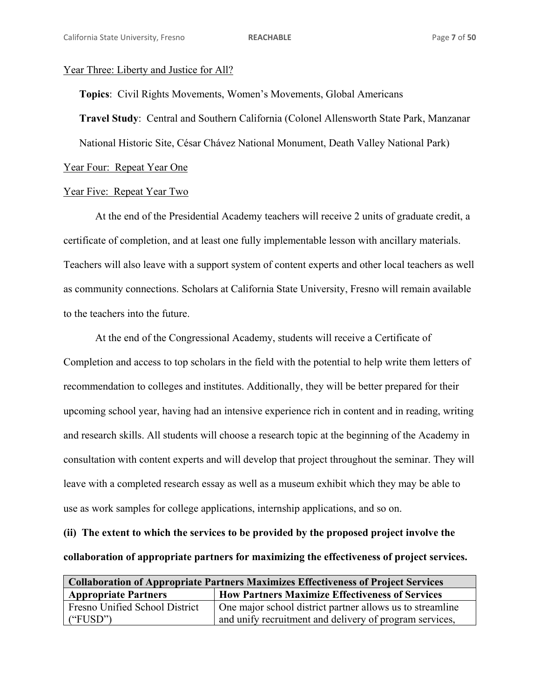### Year Three: Liberty and Justice for All?

**Topics**: Civil Rights Movements, Women's Movements, Global Americans **Travel Study**: Central and Southern California (Colonel Allensworth State Park, Manzanar National Historic Site, César Chávez National Monument, Death Valley National Park)

Year Four: Repeat Year One

## Year Five: Repeat Year Two

At the end of the Presidential Academy teachers will receive 2 units of graduate credit, a certificate of completion, and at least one fully implementable lesson with ancillary materials. Teachers will also leave with a support system of content experts and other local teachers as well as community connections. Scholars at California State University, Fresno will remain available to the teachers into the future.

 At the end of the Congressional Academy, students will receive a Certificate of Completion and access to top scholars in the field with the potential to help write them letters of recommendation to colleges and institutes. Additionally, they will be better prepared for their upcoming school year, having had an intensive experience rich in content and in reading, writing and research skills. All students will choose a research topic at the beginning of the Academy in consultation with content experts and will develop that project throughout the seminar. They will leave with a completed research essay as well as a museum exhibit which they may be able to use as work samples for college applications, internship applications, and so on.

**(ii) The extent to which the services to be provided by the proposed project involve the collaboration of appropriate partners for maximizing the effectiveness of project services.** 

| <b>Collaboration of Appropriate Partners Maximizes Effectiveness of Project Services</b> |                                                           |  |  |
|------------------------------------------------------------------------------------------|-----------------------------------------------------------|--|--|
| <b>Appropriate Partners</b>                                                              | <b>How Partners Maximize Effectiveness of Services</b>    |  |  |
| Fresno Unified School District                                                           | One major school district partner allows us to streamline |  |  |
| ("FUSD")                                                                                 | and unify recruitment and delivery of program services,   |  |  |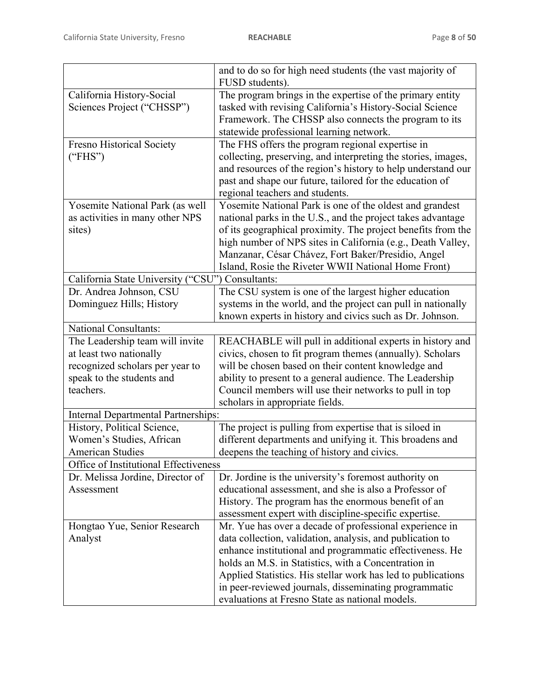|                                                  | and to do so for high need students (the vast majority of     |
|--------------------------------------------------|---------------------------------------------------------------|
|                                                  | FUSD students).                                               |
| California History-Social                        | The program brings in the expertise of the primary entity     |
| Sciences Project ("CHSSP")                       | tasked with revising California's History-Social Science      |
|                                                  | Framework. The CHSSP also connects the program to its         |
|                                                  | statewide professional learning network.                      |
| <b>Fresno Historical Society</b>                 | The FHS offers the program regional expertise in              |
| ("FHS")                                          | collecting, preserving, and interpreting the stories, images, |
|                                                  | and resources of the region's history to help understand our  |
|                                                  | past and shape our future, tailored for the education of      |
|                                                  | regional teachers and students.                               |
| Yosemite National Park (as well                  | Yosemite National Park is one of the oldest and grandest      |
| as activities in many other NPS                  | national parks in the U.S., and the project takes advantage   |
| sites)                                           | of its geographical proximity. The project benefits from the  |
|                                                  | high number of NPS sites in California (e.g., Death Valley,   |
|                                                  | Manzanar, César Chávez, Fort Baker/Presidio, Angel            |
|                                                  | Island, Rosie the Riveter WWII National Home Front)           |
| California State University ("CSU") Consultants: |                                                               |
| Dr. Andrea Johnson, CSU                          | The CSU system is one of the largest higher education         |
| Dominguez Hills; History                         | systems in the world, and the project can pull in nationally  |
|                                                  | known experts in history and civics such as Dr. Johnson.      |
| <b>National Consultants:</b>                     |                                                               |
| The Leadership team will invite                  | REACHABLE will pull in additional experts in history and      |
| at least two nationally                          | civics, chosen to fit program themes (annually). Scholars     |
| recognized scholars per year to                  | will be chosen based on their content knowledge and           |
| speak to the students and                        | ability to present to a general audience. The Leadership      |
| teachers.                                        | Council members will use their networks to pull in top        |
|                                                  | scholars in appropriate fields.                               |
| <b>Internal Departmental Partnerships:</b>       |                                                               |
| History, Political Science,                      | The project is pulling from expertise that is siloed in       |
| Women's Studies, African                         | different departments and unifying it. This broadens and      |
| <b>American Studies</b>                          | deepens the teaching of history and civics.                   |
| Office of Institutional Effectiveness            |                                                               |
| Dr. Melissa Jordine, Director of                 | Dr. Jordine is the university's foremost authority on         |
| Assessment                                       | educational assessment, and she is also a Professor of        |
|                                                  | History. The program has the enormous benefit of an           |
|                                                  | assessment expert with discipline-specific expertise.         |
| Hongtao Yue, Senior Research                     | Mr. Yue has over a decade of professional experience in       |
| Analyst                                          | data collection, validation, analysis, and publication to     |
|                                                  | enhance institutional and programmatic effectiveness. He      |
|                                                  | holds an M.S. in Statistics, with a Concentration in          |
|                                                  | Applied Statistics. His stellar work has led to publications  |
|                                                  | in peer-reviewed journals, disseminating programmatic         |
|                                                  | evaluations at Fresno State as national models.               |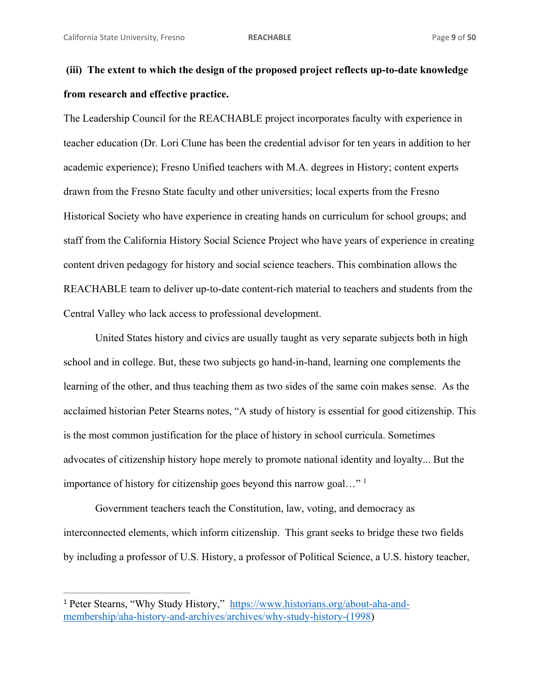# **(iii) The extent to which the design of the proposed project reflects up-to-date knowledge from research and effective practice.**

The Leadership Council for the REACHABLE project incorporates faculty with experience in teacher education (Dr. Lori Clune has been the credential advisor for ten years in addition to her academic experience); Fresno Unified teachers with M.A. degrees in History; content experts drawn from the Fresno State faculty and other universities; local experts from the Fresno Historical Society who have experience in creating hands on curriculum for school groups; and staff from the California History Social Science Project who have years of experience in creating content driven pedagogy for history and social science teachers. This combination allows the REACHABLE team to deliver up-to-date content-rich material to teachers and students from the Central Valley who lack access to professional development.

United States history and civics are usually taught as very separate subjects both in high school and in college. But, these two subjects go hand-in-hand, learning one complements the learning of the other, and thus teaching them as two sides of the same coin makes sense. As the acclaimed historian Peter Stearns notes, "A study of history is essential for good citizenship. This is the most common justification for the place of history in school curricula. Sometimes advocates of citizenship history hope merely to promote national identity and loyalty... But the importance of history for citizenship goes beyond this narrow goal…" 1

Government teachers teach the Constitution, law, voting, and democracy as interconnected elements, which inform citizenship. This grant seeks to bridge these two fields by including a professor of U.S. History, a professor of Political Science, a U.S. history teacher,

<u> 1989 - Johann Stein, mars et al. 1989 - Anna ann an t-Anna ann an t-Anna ann an t-Anna ann an t-Anna ann an t-</u>

<sup>1</sup> Peter Stearns, "Why Study History," https://www.historians.org/about-aha-andmembership/aha-history-and-archives/archives/why-study-history-(1998)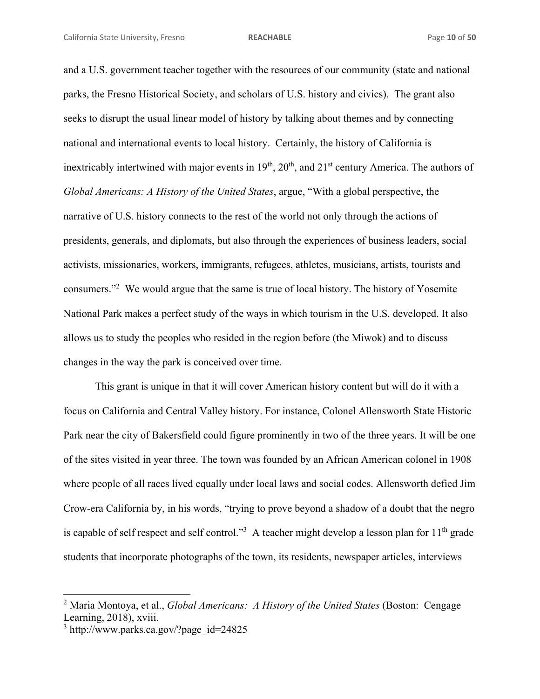and a U.S. government teacher together with the resources of our community (state and national parks, the Fresno Historical Society, and scholars of U.S. history and civics). The grant also seeks to disrupt the usual linear model of history by talking about themes and by connecting national and international events to local history. Certainly, the history of California is inextricably intertwined with major events in  $19<sup>th</sup>$ ,  $20<sup>th</sup>$ , and  $21<sup>st</sup>$  century America. The authors of *Global Americans: A History of the United States*, argue, "With a global perspective, the narrative of U.S. history connects to the rest of the world not only through the actions of presidents, generals, and diplomats, but also through the experiences of business leaders, social activists, missionaries, workers, immigrants, refugees, athletes, musicians, artists, tourists and consumers."<sup>2</sup> We would argue that the same is true of local history. The history of Yosemite National Park makes a perfect study of the ways in which tourism in the U.S. developed. It also allows us to study the peoples who resided in the region before (the Miwok) and to discuss changes in the way the park is conceived over time.

This grant is unique in that it will cover American history content but will do it with a focus on California and Central Valley history. For instance, Colonel Allensworth State Historic Park near the city of Bakersfield could figure prominently in two of the three years. It will be one of the sites visited in year three. The town was founded by an African American colonel in 1908 where people of all races lived equally under local laws and social codes. Allensworth defied Jim Crow-era California by, in his words, "trying to prove beyond a shadow of a doubt that the negro is capable of self respect and self control."<sup>3</sup> A teacher might develop a lesson plan for  $11<sup>th</sup>$  grade students that incorporate photographs of the town, its residents, newspaper articles, interviews

<u> 1989 - Johann Stein, mars et al. 1989 - Anna ann an t-Anna ann an t-Anna ann an t-Anna ann an t-Anna ann an t-</u>

<sup>2</sup> Maria Montoya, et al., *Global Americans: A History of the United States* (Boston: Cengage Learning, 2018), xviii.

<sup>3</sup> http://www.parks.ca.gov/?page\_id=24825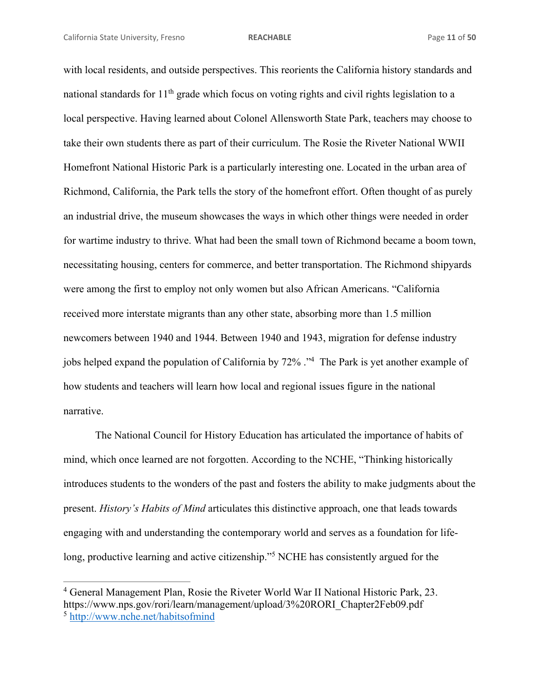<u> 1989 - Johann Stein, mars an t-Amerikaansk kommunister (</u>

with local residents, and outside perspectives. This reorients the California history standards and national standards for  $11<sup>th</sup>$  grade which focus on voting rights and civil rights legislation to a local perspective. Having learned about Colonel Allensworth State Park, teachers may choose to take their own students there as part of their curriculum. The Rosie the Riveter National WWII Homefront National Historic Park is a particularly interesting one. Located in the urban area of Richmond, California, the Park tells the story of the homefront effort. Often thought of as purely an industrial drive, the museum showcases the ways in which other things were needed in order for wartime industry to thrive. What had been the small town of Richmond became a boom town, necessitating housing, centers for commerce, and better transportation. The Richmond shipyards were among the first to employ not only women but also African Americans. "California received more interstate migrants than any other state, absorbing more than 1.5 million newcomers between 1940 and 1944. Between 1940 and 1943, migration for defense industry jobs helped expand the population of California by 72% ."<sup>4</sup> The Park is yet another example of how students and teachers will learn how local and regional issues figure in the national narrative.

The National Council for History Education has articulated the importance of habits of mind, which once learned are not forgotten. According to the NCHE, "Thinking historically introduces students to the wonders of the past and fosters the ability to make judgments about the present. *History's Habits of Mind* articulates this distinctive approach, one that leads towards engaging with and understanding the contemporary world and serves as a foundation for lifelong, productive learning and active citizenship."<sup>5</sup> NCHE has consistently argued for the

<sup>&</sup>lt;sup>4</sup> General Management Plan, Rosie the Riveter World War II National Historic Park, 23. https://www.nps.gov/rori/learn/management/upload/3%20RORI\_Chapter2Feb09.pdf <sup>5</sup> http://www.nche.net/habitsofmind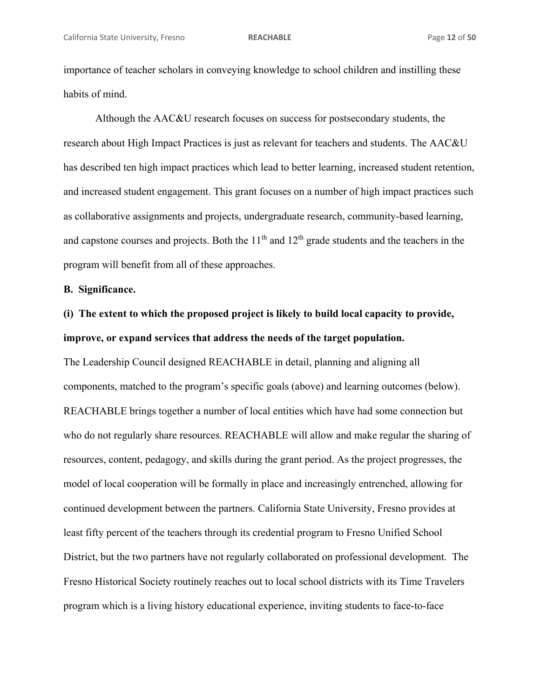importance of teacher scholars in conveying knowledge to school children and instilling these habits of mind.

 Although the AAC&U research focuses on success for postsecondary students, the research about High Impact Practices is just as relevant for teachers and students. The AAC&U has described ten high impact practices which lead to better learning, increased student retention, and increased student engagement. This grant focuses on a number of high impact practices such as collaborative assignments and projects, undergraduate research, community-based learning, and capstone courses and projects. Both the  $11<sup>th</sup>$  and  $12<sup>th</sup>$  grade students and the teachers in the program will benefit from all of these approaches.

**B. Significance.** 

# **(i) The extent to which the proposed project is likely to build local capacity to provide, improve, or expand services that address the needs of the target population.**

The Leadership Council designed REACHABLE in detail, planning and aligning all components, matched to the program's specific goals (above) and learning outcomes (below). REACHABLE brings together a number of local entities which have had some connection but who do not regularly share resources. REACHABLE will allow and make regular the sharing of resources, content, pedagogy, and skills during the grant period. As the project progresses, the model of local cooperation will be formally in place and increasingly entrenched, allowing for continued development between the partners. California State University, Fresno provides at least fifty percent of the teachers through its credential program to Fresno Unified School District, but the two partners have not regularly collaborated on professional development. The Fresno Historical Society routinely reaches out to local school districts with its Time Travelers program which is a living history educational experience, inviting students to face-to-face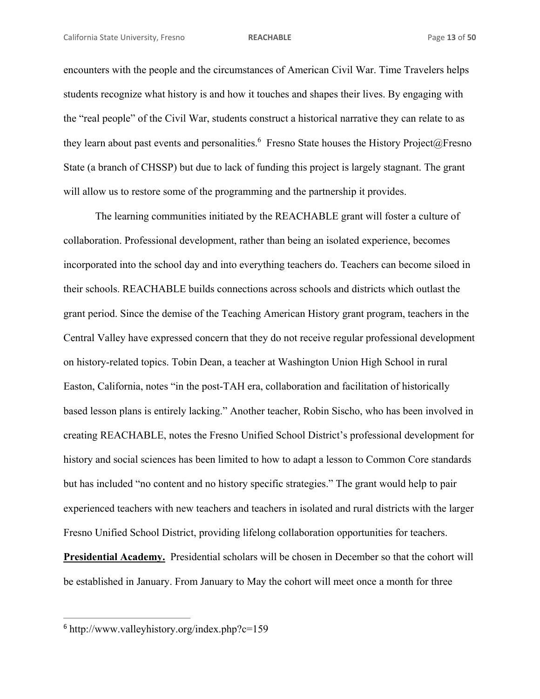encounters with the people and the circumstances of American Civil War. Time Travelers helps students recognize what history is and how it touches and shapes their lives. By engaging with the "real people" of the Civil War, students construct a historical narrative they can relate to as they learn about past events and personalities.<sup>6</sup> Fresno State houses the History Project@Fresno State (a branch of CHSSP) but due to lack of funding this project is largely stagnant. The grant will allow us to restore some of the programming and the partnership it provides.

The learning communities initiated by the REACHABLE grant will foster a culture of collaboration. Professional development, rather than being an isolated experience, becomes incorporated into the school day and into everything teachers do. Teachers can become siloed in their schools. REACHABLE builds connections across schools and districts which outlast the grant period. Since the demise of the Teaching American History grant program, teachers in the Central Valley have expressed concern that they do not receive regular professional development on history-related topics. Tobin Dean, a teacher at Washington Union High School in rural Easton, California, notes "in the post-TAH era, collaboration and facilitation of historically based lesson plans is entirely lacking." Another teacher, Robin Sischo, who has been involved in creating REACHABLE, notes the Fresno Unified School District's professional development for history and social sciences has been limited to how to adapt a lesson to Common Core standards but has included "no content and no history specific strategies." The grant would help to pair experienced teachers with new teachers and teachers in isolated and rural districts with the larger Fresno Unified School District, providing lifelong collaboration opportunities for teachers. **Presidential Academy.** Presidential scholars will be chosen in December so that the cohort will

be established in January. From January to May the cohort will meet once a month for three

<u> 1989 - Johann Stein, mars et al. 1989 - Anna ann an t-Anna ann an t-Anna ann an t-Anna ann an t-Anna ann an t-</u>

<sup>6</sup> http://www.valleyhistory.org/index.php?c=159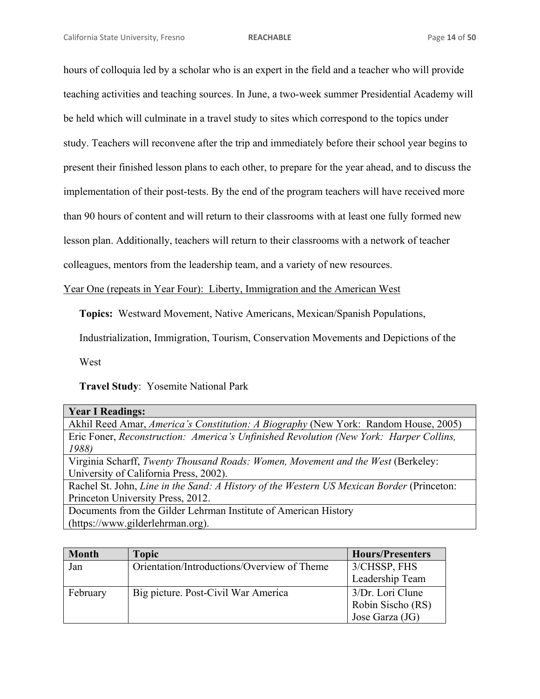hours of colloquia led by a scholar who is an expert in the field and a teacher who will provide teaching activities and teaching sources. In June, a two-week summer Presidential Academy will be held which will culminate in a travel study to sites which correspond to the topics under study. Teachers will reconvene after the trip and immediately before their school year begins to present their finished lesson plans to each other, to prepare for the year ahead, and to discuss the implementation of their post-tests. By the end of the program teachers will have received more than 90 hours of content and will return to their classrooms with at least one fully formed new lesson plan. Additionally, teachers will return to their classrooms with a network of teacher colleagues, mentors from the leadership team, and a variety of new resources.

Year One (repeats in Year Four): Liberty, Immigration and the American West

**Topics:** Westward Movement, Native Americans, Mexican/Spanish Populations,

Industrialization, Immigration, Tourism, Conservation Movements and Depictions of the

West

**Travel Study**: Yosemite National Park

| <b>Year I Readings:</b>                                                                   |
|-------------------------------------------------------------------------------------------|
| Akhil Reed Amar, America's Constitution: A Biography (New York: Random House, 2005)       |
| Eric Foner, Reconstruction: America's Unfinished Revolution (New York: Harper Collins,    |
| 1988)                                                                                     |
| Virginia Scharff, Twenty Thousand Roads: Women, Movement and the West (Berkeley:          |
| University of California Press, 2002).                                                    |
| Rachel St. John, Line in the Sand: A History of the Western US Mexican Border (Princeton: |
| Princeton University Press, 2012.                                                         |

Documents from the Gilder Lehrman Institute of American History (https://www.gilderlehrman.org).

| <b>Month</b> | <b>Topic</b>                                | <b>Hours/Presenters</b> |
|--------------|---------------------------------------------|-------------------------|
| Jan          | Orientation/Introductions/Overview of Theme | 3/CHSSP, FHS            |
|              |                                             | Leadership Team         |
| February     | Big picture. Post-Civil War America         | 3/Dr. Lori Clune        |
|              |                                             | Robin Sischo (RS)       |
|              |                                             | Jose Garza (JG)         |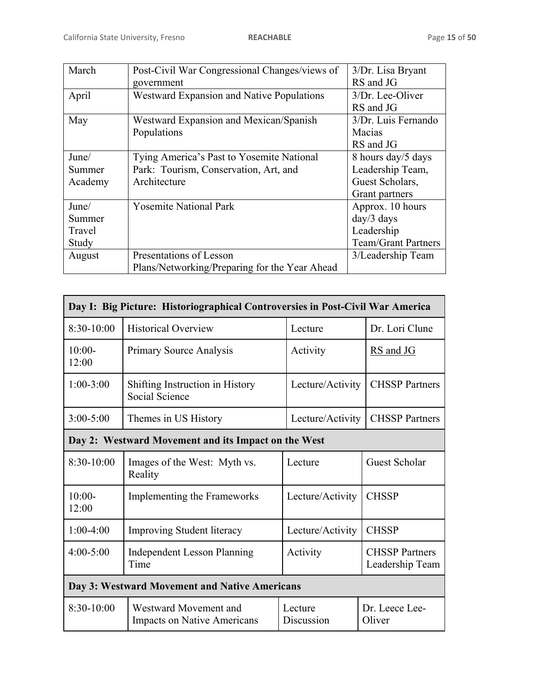| March   | Post-Civil War Congressional Changes/views of    | 3/Dr. Lisa Bryant          |
|---------|--------------------------------------------------|----------------------------|
|         | government                                       | RS and JG                  |
| April   | <b>Westward Expansion and Native Populations</b> | 3/Dr. Lee-Oliver           |
|         |                                                  | RS and JG                  |
| May     | Westward Expansion and Mexican/Spanish           | 3/Dr. Luis Fernando        |
|         | Populations                                      | Macias                     |
|         |                                                  | RS and JG                  |
| June/   | Tying America's Past to Yosemite National        | 8 hours day/5 days         |
| Summer  | Park: Tourism, Conservation, Art, and            | Leadership Team,           |
| Academy | Architecture                                     | Guest Scholars,            |
|         |                                                  | Grant partners             |
| June/   | <b>Yosemite National Park</b>                    | Approx. 10 hours           |
| Summer  |                                                  | $day/3$ days               |
| Travel  |                                                  | Leadership                 |
| Study   |                                                  | <b>Team/Grant Partners</b> |
| August  | Presentations of Lesson                          | 3/Leadership Team          |
|         | Plans/Networking/Preparing for the Year Ahead    |                            |

| Day I: Big Picture: Historiographical Controversies in Post-Civil War America |                                                             |                       |                                          |
|-------------------------------------------------------------------------------|-------------------------------------------------------------|-----------------------|------------------------------------------|
| 8:30-10:00                                                                    | <b>Historical Overview</b>                                  | Lecture               | Dr. Lori Clune                           |
| $10:00-$<br>12:00                                                             | Primary Source Analysis                                     | Activity              | <b>RS</b> and JG                         |
| $1:00-3:00$                                                                   | Shifting Instruction in History<br>Social Science           | Lecture/Activity      | <b>CHSSP</b> Partners                    |
| $3:00 - 5:00$                                                                 | Themes in US History                                        | Lecture/Activity      | <b>CHSSP</b> Partners                    |
| Day 2: Westward Movement and its Impact on the West                           |                                                             |                       |                                          |
| 8:30-10:00                                                                    | Images of the West: Myth vs.<br>Reality                     | Lecture               | <b>Guest Scholar</b>                     |
| $10:00-$<br>12:00                                                             | Implementing the Frameworks                                 | Lecture/Activity      | <b>CHSSP</b>                             |
| $1:00-4:00$                                                                   | <b>Improving Student literacy</b>                           | Lecture/Activity      | <b>CHSSP</b>                             |
| $4:00 - 5:00$                                                                 | <b>Independent Lesson Planning</b><br>Time                  | Activity              | <b>CHSSP</b> Partners<br>Leadership Team |
| Day 3: Westward Movement and Native Americans                                 |                                                             |                       |                                          |
| 8:30-10:00                                                                    | Westward Movement and<br><b>Impacts on Native Americans</b> | Lecture<br>Discussion | Dr. Leece Lee-<br>Oliver                 |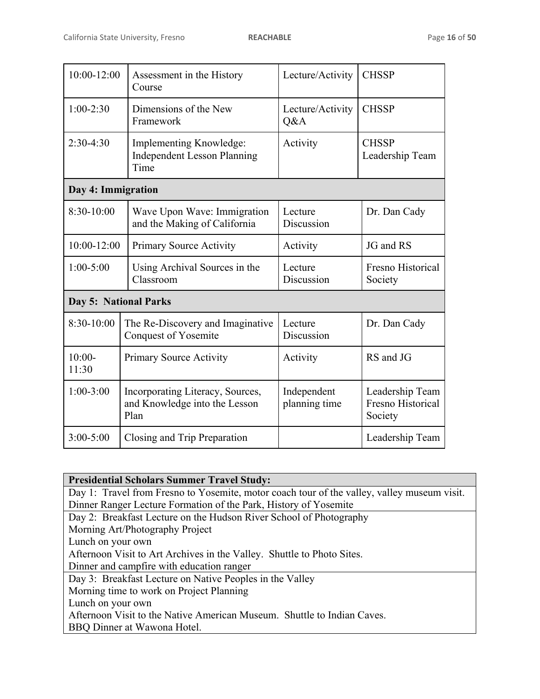| $10:00 - 12:00$       | Assessment in the History<br>Course                                       | Lecture/Activity             | <b>CHSSP</b>                                    |
|-----------------------|---------------------------------------------------------------------------|------------------------------|-------------------------------------------------|
| $1:00-2:30$           | Dimensions of the New<br>Framework                                        | Lecture/Activity<br>Q&A      | <b>CHSSP</b>                                    |
| $2:30-4:30$           | Implementing Knowledge:<br><b>Independent Lesson Planning</b><br>Time     | Activity                     | <b>CHSSP</b><br>Leadership Team                 |
| Day 4: Immigration    |                                                                           |                              |                                                 |
| $8:30-10:00$          | Wave Upon Wave: Immigration<br>and the Making of California               | Lecture<br>Discussion        | Dr. Dan Cady                                    |
| 10:00-12:00           | <b>Primary Source Activity</b>                                            | Activity                     | JG and RS                                       |
| $1:00 - 5:00$         | Using Archival Sources in the<br>Classroom                                | Lecture<br>Discussion        | <b>Fresno Historical</b><br>Society             |
| Day 5: National Parks |                                                                           |                              |                                                 |
| 8:30-10:00            | The Re-Discovery and Imaginative<br><b>Conquest of Yosemite</b>           | Lecture<br>Discussion        | Dr. Dan Cady                                    |
| $10:00-$<br>11:30     | Primary Source Activity                                                   | Activity                     | RS and JG                                       |
| $1:00-3:00$           | Incorporating Literacy, Sources,<br>and Knowledge into the Lesson<br>Plan | Independent<br>planning time | Leadership Team<br>Fresno Historical<br>Society |
| $3:00 - 5:00$         | Closing and Trip Preparation                                              |                              | Leadership Team                                 |

| <b>Presidential Scholars Summer Travel Study:</b>                                           |  |  |  |
|---------------------------------------------------------------------------------------------|--|--|--|
| Day 1: Travel from Fresno to Yosemite, motor coach tour of the valley, valley museum visit. |  |  |  |
| Dinner Ranger Lecture Formation of the Park, History of Yosemite                            |  |  |  |
| Day 2: Breakfast Lecture on the Hudson River School of Photography                          |  |  |  |
| Morning Art/Photography Project                                                             |  |  |  |
| Lunch on your own                                                                           |  |  |  |
| Afternoon Visit to Art Archives in the Valley. Shuttle to Photo Sites.                      |  |  |  |
| Dinner and campfire with education ranger                                                   |  |  |  |
| Day 3: Breakfast Lecture on Native Peoples in the Valley                                    |  |  |  |
| Morning time to work on Project Planning                                                    |  |  |  |
| Lunch on your own                                                                           |  |  |  |
| Afternoon Visit to the Native American Museum. Shuttle to Indian Caves.                     |  |  |  |
| BBQ Dinner at Wawona Hotel.                                                                 |  |  |  |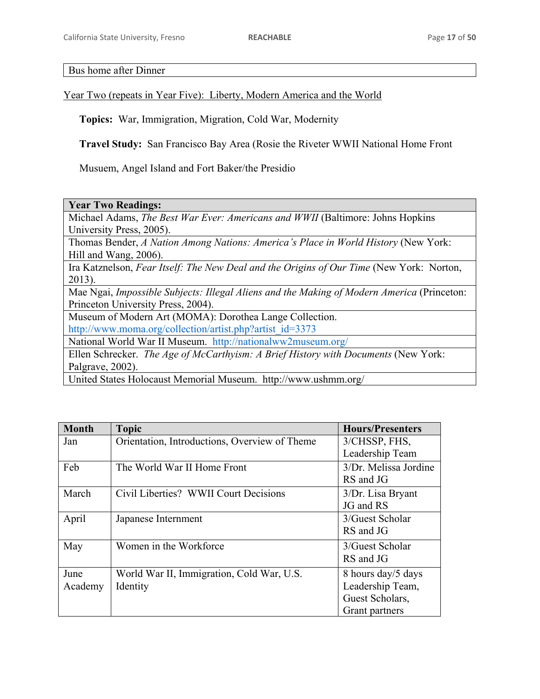Bus home after Dinner

Year Two (repeats in Year Five): Liberty, Modern America and the World

**Topics:** War, Immigration, Migration, Cold War, Modernity

**Travel Study:** San Francisco Bay Area (Rosie the Riveter WWII National Home Front

Musuem, Angel Island and Fort Baker/the Presidio

| <b>Year Two Readings:</b> |
|---------------------------|
|---------------------------|

Michael Adams, *The Best War Ever: Americans and WWII* (Baltimore: Johns Hopkins University Press, 2005).

Thomas Bender, *A Nation Among Nations: America's Place in World History* (New York: Hill and Wang, 2006).

Ira Katznelson, *Fear Itself: The New Deal and the Origins of Our Time* (New York: Norton, 2013).

Mae Ngai, *Impossible Subjects: Illegal Aliens and the Making of Modern America* (Princeton: Princeton University Press, 2004).

Museum of Modern Art (MOMA): Dorothea Lange Collection. http://www.moma.org/collection/artist.php?artist\_id=3373

National World War II Museum. http://nationalww2museum.org/

Ellen Schrecker. *The Age of McCarthyism: A Brief History with Documents* (New York: Palgrave, 2002).

United States Holocaust Memorial Museum. http://www.ushmm.org/

| <b>Month</b> | <b>Topic</b>                                  | <b>Hours/Presenters</b> |
|--------------|-----------------------------------------------|-------------------------|
| Jan          | Orientation, Introductions, Overview of Theme | 3/CHSSP, FHS,           |
|              |                                               | Leadership Team         |
| Feb          | The World War II Home Front                   | 3/Dr. Melissa Jordine   |
|              |                                               | RS and JG               |
| March        | Civil Liberties? WWII Court Decisions         | 3/Dr. Lisa Bryant       |
|              |                                               | JG and RS               |
| April        | Japanese Internment                           | 3/Guest Scholar         |
|              |                                               | RS and JG               |
| May          | Women in the Workforce                        | 3/Guest Scholar         |
|              |                                               | RS and JG               |
| June         | World War II, Immigration, Cold War, U.S.     | 8 hours day/5 days      |
| Academy      | Identity                                      | Leadership Team,        |
|              |                                               | Guest Scholars,         |
|              |                                               | Grant partners          |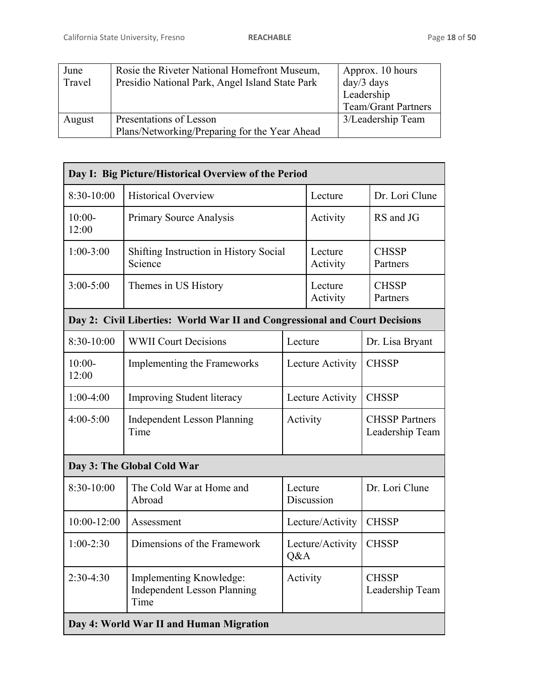| June   | Rosie the Riveter National Homefront Museum,    | Approx. 10 hours           |
|--------|-------------------------------------------------|----------------------------|
| Travel | Presidio National Park, Angel Island State Park | $day/3$ days               |
|        |                                                 | Leadership                 |
|        |                                                 | <b>Team/Grant Partners</b> |
| August | Presentations of Lesson                         | 3/Leadership Team          |
|        | Plans/Networking/Preparing for the Year Ahead   |                            |

|                   | Day I: Big Picture/Historical Overview of the Period                       |                         |                     |                                          |
|-------------------|----------------------------------------------------------------------------|-------------------------|---------------------|------------------------------------------|
| $8:30-10:00$      | <b>Historical Overview</b>                                                 |                         | Lecture             | Dr. Lori Clune                           |
| $10:00-$<br>12:00 | <b>Primary Source Analysis</b>                                             |                         | Activity            | RS and JG                                |
| $1:00-3:00$       | Shifting Instruction in History Social<br>Science                          |                         | Lecture<br>Activity | <b>CHSSP</b><br>Partners                 |
| $3:00 - 5:00$     | Themes in US History                                                       |                         | Lecture<br>Activity | <b>CHSSP</b><br>Partners                 |
|                   | Day 2: Civil Liberties: World War II and Congressional and Court Decisions |                         |                     |                                          |
| 8:30-10:00        | <b>WWII Court Decisions</b>                                                | Lecture                 |                     | Dr. Lisa Bryant                          |
| $10:00-$<br>12:00 | Implementing the Frameworks                                                |                         | Lecture Activity    | <b>CHSSP</b>                             |
| $1:00-4:00$       | <b>Improving Student literacy</b>                                          |                         | Lecture Activity    | <b>CHSSP</b>                             |
| $4:00 - 5:00$     | <b>Independent Lesson Planning</b><br>Time                                 | Activity                |                     | <b>CHSSP</b> Partners<br>Leadership Team |
|                   | Day 3: The Global Cold War                                                 |                         |                     |                                          |
| 8:30-10:00        | The Cold War at Home and<br>Abroad                                         | Lecture<br>Discussion   |                     | Dr. Lori Clune                           |
| 10:00-12:00       | Assessment                                                                 |                         | Lecture/Activity    | <b>CHSSP</b>                             |
| $1:00-2:30$       | Dimensions of the Framework                                                | Lecture/Activity<br>Q&A |                     | <b>CHSSP</b>                             |
| $2:30-4:30$       | Implementing Knowledge:<br><b>Independent Lesson Planning</b><br>Time      | Activity                |                     | <b>CHSSP</b><br>Leadership Team          |
|                   | Day 4: World War II and Human Migration                                    |                         |                     |                                          |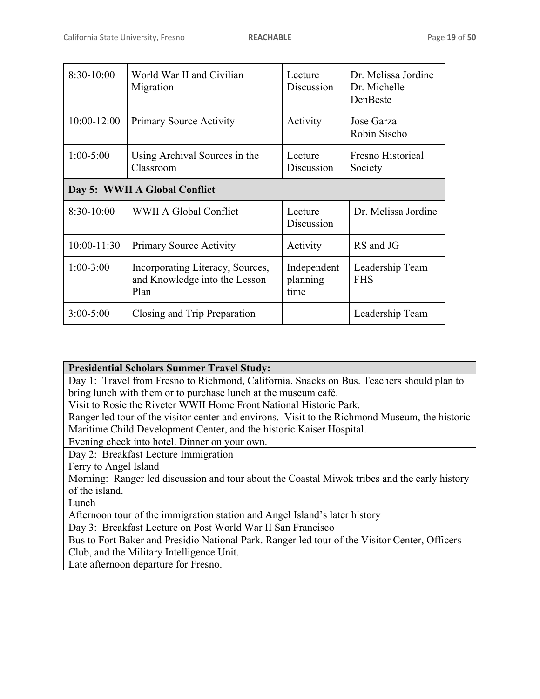| 8:30-10:00      | World War II and Civilian<br>Migration                                    | Lecture<br>Discussion           | Dr. Melissa Jordine<br>Dr. Michelle<br>DenBeste |
|-----------------|---------------------------------------------------------------------------|---------------------------------|-------------------------------------------------|
| $10:00 - 12:00$ | <b>Primary Source Activity</b>                                            | Activity                        | Jose Garza<br>Robin Sischo                      |
| $1:00-5:00$     | Using Archival Sources in the<br>Classroom                                | Lecture<br>Discussion           | Fresno Historical<br>Society                    |
|                 | Day 5: WWII A Global Conflict                                             |                                 |                                                 |
| 8:30-10:00      | WWII A Global Conflict                                                    | Lecture<br>Discussion           | Dr. Melissa Jordine                             |
| $10:00 - 11:30$ | <b>Primary Source Activity</b>                                            | Activity                        | RS and JG                                       |
| $1:00-3:00$     | Incorporating Literacy, Sources,<br>and Knowledge into the Lesson<br>Plan | Independent<br>planning<br>time | Leadership Team<br><b>FHS</b>                   |
| $3:00 - 5:00$   | Closing and Trip Preparation                                              |                                 | Leadership Team                                 |

# **Presidential Scholars Summer Travel Study:**

Day 1: Travel from Fresno to Richmond, California. Snacks on Bus. Teachers should plan to bring lunch with them or to purchase lunch at the museum café.

Visit to Rosie the Riveter WWII Home Front National Historic Park.

Ranger led tour of the visitor center and environs. Visit to the Richmond Museum, the historic Maritime Child Development Center, and the historic Kaiser Hospital.

Evening check into hotel. Dinner on your own.

Day 2: Breakfast Lecture Immigration

Ferry to Angel Island

Morning: Ranger led discussion and tour about the Coastal Miwok tribes and the early history of the island.

Lunch

Afternoon tour of the immigration station and Angel Island's later history

Day 3: Breakfast Lecture on Post World War II San Francisco

Bus to Fort Baker and Presidio National Park. Ranger led tour of the Visitor Center, Officers Club, and the Military Intelligence Unit.

Late afternoon departure for Fresno.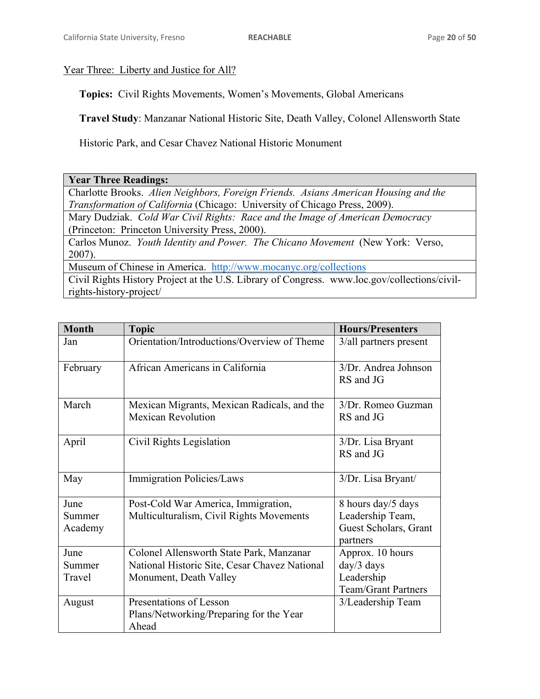# Year Three: Liberty and Justice for All?

**Topics:** Civil Rights Movements, Women's Movements, Global Americans

**Travel Study**: Manzanar National Historic Site, Death Valley, Colonel Allensworth State

Historic Park, and Cesar Chavez National Historic Monument

# **Year Three Readings:**

Charlotte Brooks. *Alien Neighbors, Foreign Friends. Asians American Housing and the Transformation of California* (Chicago: University of Chicago Press, 2009).

Mary Dudziak. *Cold War Civil Rights: Race and the Image of American Democracy* (Princeton: Princeton University Press, 2000).

Carlos Munoz. *Youth Identity and Power. The Chicano Movement* (New York: Verso, 2007).

Museum of Chinese in America. http://www.mocanyc.org/collections

Civil Rights History Project at the U.S. Library of Congress. www.loc.gov/collections/civilrights-history-project/

| <b>Month</b>              | <b>Topic</b>                                                                                                        | <b>Hours/Presenters</b>                                                     |
|---------------------------|---------------------------------------------------------------------------------------------------------------------|-----------------------------------------------------------------------------|
| Jan                       | Orientation/Introductions/Overview of Theme                                                                         | 3/all partners present                                                      |
| February                  | African Americans in California                                                                                     | 3/Dr. Andrea Johnson<br>RS and JG                                           |
| March                     | Mexican Migrants, Mexican Radicals, and the<br><b>Mexican Revolution</b>                                            | 3/Dr. Romeo Guzman<br>RS and JG                                             |
| April                     | Civil Rights Legislation                                                                                            | 3/Dr. Lisa Bryant<br>RS and JG                                              |
| May                       | <b>Immigration Policies/Laws</b>                                                                                    | 3/Dr. Lisa Bryant/                                                          |
| June<br>Summer<br>Academy | Post-Cold War America, Immigration,<br>Multiculturalism, Civil Rights Movements                                     | 8 hours day/5 days<br>Leadership Team,<br>Guest Scholars, Grant<br>partners |
| June<br>Summer<br>Travel  | Colonel Allensworth State Park, Manzanar<br>National Historic Site, Cesar Chavez National<br>Monument, Death Valley | Approx. 10 hours<br>day/3 days<br>Leadership<br><b>Team/Grant Partners</b>  |
| August                    | Presentations of Lesson<br>Plans/Networking/Preparing for the Year<br>Ahead                                         | 3/Leadership Team                                                           |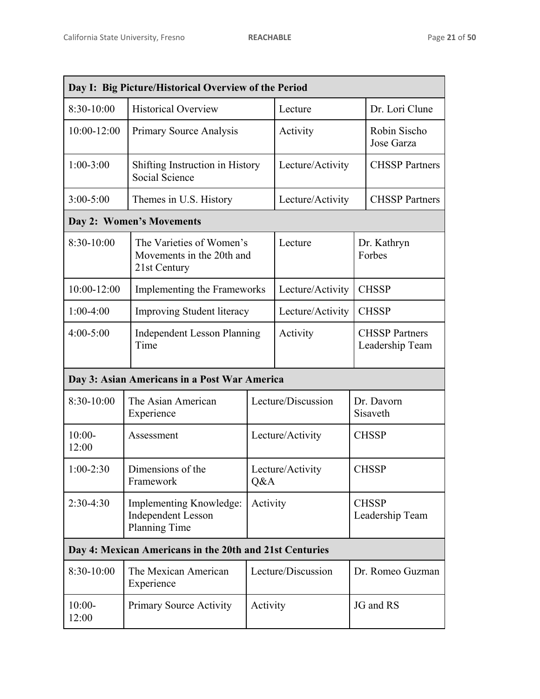| Day I: Big Picture/Historical Overview of the Period    |                                                                       |                         |                    |                                          |
|---------------------------------------------------------|-----------------------------------------------------------------------|-------------------------|--------------------|------------------------------------------|
| $8:30-10:00$                                            | <b>Historical Overview</b>                                            |                         | Lecture            | Dr. Lori Clune                           |
| $10:00 - 12:00$                                         | Primary Source Analysis                                               |                         | Activity           | Robin Sischo<br>Jose Garza               |
| $1:00-3:00$                                             | Shifting Instruction in History<br>Social Science                     |                         | Lecture/Activity   | <b>CHSSP</b> Partners                    |
| $3:00 - 5:00$                                           | Themes in U.S. History                                                |                         | Lecture/Activity   | <b>CHSSP</b> Partners                    |
|                                                         | Day 2: Women's Movements                                              |                         |                    |                                          |
| 8:30-10:00                                              | The Varieties of Women's<br>Movements in the 20th and<br>21st Century |                         | Lecture            | Dr. Kathryn<br>Forbes                    |
| 10:00-12:00                                             | Implementing the Frameworks                                           |                         | Lecture/Activity   | <b>CHSSP</b>                             |
| $1:00-4:00$                                             | <b>Improving Student literacy</b>                                     |                         | Lecture/Activity   | <b>CHSSP</b>                             |
| 4:00-5:00                                               | <b>Independent Lesson Planning</b><br>Time                            |                         | Activity           | <b>CHSSP Partners</b><br>Leadership Team |
| Day 3: Asian Americans in a Post War America            |                                                                       |                         |                    |                                          |
| 8:30-10:00                                              | The Asian American<br>Experience                                      |                         | Lecture/Discussion | Dr. Davorn<br>Sisaveth                   |
| $10:00-$<br>12:00                                       | Assessment                                                            | Lecture/Activity        |                    | <b>CHSSP</b>                             |
| $1:00-2:30$                                             | Dimensions of the<br>Framework                                        | Lecture/Activity<br>Q&A |                    | <b>CHSSP</b>                             |
| $2:30-4:30$                                             | Implementing Knowledge:<br><b>Independent Lesson</b><br>Planning Time | Activity                |                    | <b>CHSSP</b><br>Leadership Team          |
| Day 4: Mexican Americans in the 20th and 21st Centuries |                                                                       |                         |                    |                                          |
| 8:30-10:00                                              | The Mexican American<br>Experience                                    | Lecture/Discussion      |                    | Dr. Romeo Guzman                         |
| $10:00-$<br>12:00                                       | <b>Primary Source Activity</b>                                        | Activity                |                    | JG and RS                                |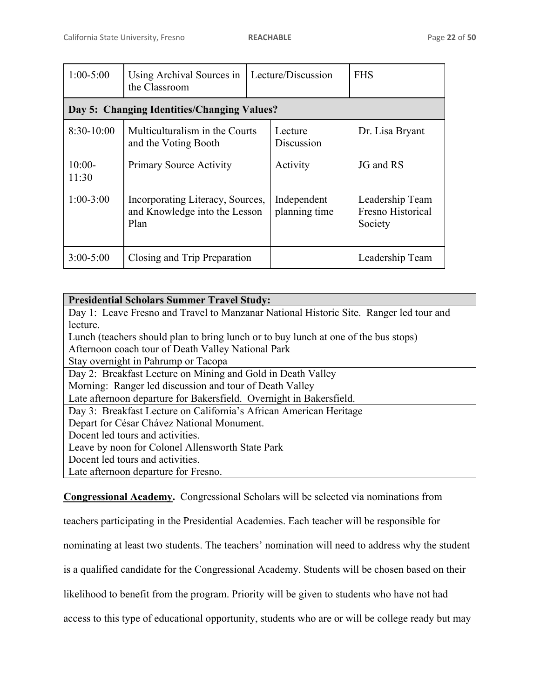| $1:00-5:00$       | Using Archival Sources in<br>the Classroom                                | Lecture/Discussion |                              | <b>FHS</b>                                      |
|-------------------|---------------------------------------------------------------------------|--------------------|------------------------------|-------------------------------------------------|
|                   | Day 5: Changing Identities/Changing Values?                               |                    |                              |                                                 |
| $8:30-10:00$      | Multiculturalism in the Courts<br>and the Voting Booth                    |                    | Lecture<br>Discussion        | Dr. Lisa Bryant                                 |
| $10:00-$<br>11:30 | <b>Primary Source Activity</b>                                            |                    | Activity                     | JG and RS                                       |
| $1:00-3:00$       | Incorporating Literacy, Sources,<br>and Knowledge into the Lesson<br>Plan |                    | Independent<br>planning time | Leadership Team<br>Fresno Historical<br>Society |
| $3:00 - 5:00$     | Closing and Trip Preparation                                              |                    |                              | Leadership Team                                 |

| <b>Presidential Scholars Summer Travel Study:</b>                                      |
|----------------------------------------------------------------------------------------|
| Day 1: Leave Fresno and Travel to Manzanar National Historic Site. Ranger led tour and |
| lecture.                                                                               |
| Lunch (teachers should plan to bring lunch or to buy lunch at one of the bus stops)    |
| Afternoon coach tour of Death Valley National Park                                     |
| Stay overnight in Pahrump or Tacopa                                                    |
| Day 2: Breakfast Lecture on Mining and Gold in Death Valley                            |
| Morning: Ranger led discussion and tour of Death Valley                                |
| Late afternoon departure for Bakersfield. Overnight in Bakersfield.                    |
| Day 3: Breakfast Lecture on California's African American Heritage                     |
| Depart for César Chávez National Monument.                                             |
| Docent led tours and activities.                                                       |
| Leave by noon for Colonel Allensworth State Park                                       |
| Docent led tours and activities.                                                       |
| Late afternoon departure for Fresno.                                                   |

**Congressional Academy.** Congressional Scholars will be selected via nominations from

teachers participating in the Presidential Academies. Each teacher will be responsible for

nominating at least two students. The teachers' nomination will need to address why the student

is a qualified candidate for the Congressional Academy. Students will be chosen based on their

likelihood to benefit from the program. Priority will be given to students who have not had

access to this type of educational opportunity, students who are or will be college ready but may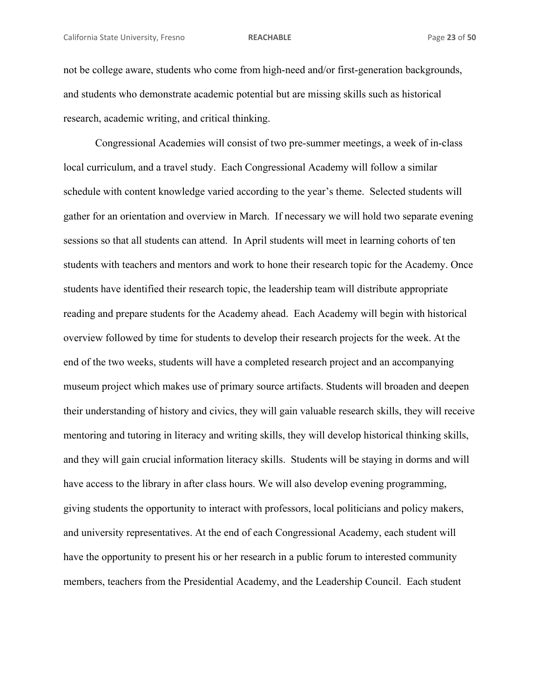not be college aware, students who come from high-need and/or first-generation backgrounds, and students who demonstrate academic potential but are missing skills such as historical research, academic writing, and critical thinking.

 Congressional Academies will consist of two pre-summer meetings, a week of in-class local curriculum, and a travel study. Each Congressional Academy will follow a similar schedule with content knowledge varied according to the year's theme. Selected students will gather for an orientation and overview in March. If necessary we will hold two separate evening sessions so that all students can attend. In April students will meet in learning cohorts of ten students with teachers and mentors and work to hone their research topic for the Academy. Once students have identified their research topic, the leadership team will distribute appropriate reading and prepare students for the Academy ahead. Each Academy will begin with historical overview followed by time for students to develop their research projects for the week. At the end of the two weeks, students will have a completed research project and an accompanying museum project which makes use of primary source artifacts. Students will broaden and deepen their understanding of history and civics, they will gain valuable research skills, they will receive mentoring and tutoring in literacy and writing skills, they will develop historical thinking skills, and they will gain crucial information literacy skills. Students will be staying in dorms and will have access to the library in after class hours. We will also develop evening programming, giving students the opportunity to interact with professors, local politicians and policy makers, and university representatives. At the end of each Congressional Academy, each student will have the opportunity to present his or her research in a public forum to interested community members, teachers from the Presidential Academy, and the Leadership Council. Each student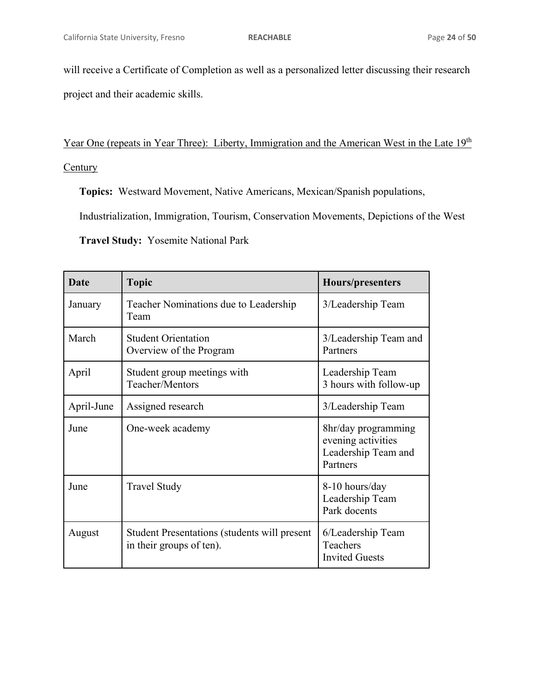will receive a Certificate of Completion as well as a personalized letter discussing their research project and their academic skills.

Year One (repeats in Year Three): Liberty, Immigration and the American West in the Late 19<sup>th</sup>

# **Century**

**Topics:** Westward Movement, Native Americans, Mexican/Spanish populations,

Industrialization, Immigration, Tourism, Conservation Movements, Depictions of the West

**Travel Study:** Yosemite National Park

| <b>Date</b> | <b>Topic</b>                                                                    | Hours/presenters                                                             |
|-------------|---------------------------------------------------------------------------------|------------------------------------------------------------------------------|
| January     | Teacher Nominations due to Leadership<br>Team                                   | 3/Leadership Team                                                            |
| March       | <b>Student Orientation</b><br>Overview of the Program                           | 3/Leadership Team and<br>Partners                                            |
| April       | Student group meetings with<br>Teacher/Mentors                                  | Leadership Team<br>3 hours with follow-up                                    |
| April-June  | Assigned research                                                               | 3/Leadership Team                                                            |
| June        | One-week academy                                                                | 8hr/day programming<br>evening activities<br>Leadership Team and<br>Partners |
| June        | <b>Travel Study</b>                                                             | 8-10 hours/day<br>Leadership Team<br>Park docents                            |
| August      | <b>Student Presentations (students will present</b><br>in their groups of ten). | 6/Leadership Team<br>Teachers<br><b>Invited Guests</b>                       |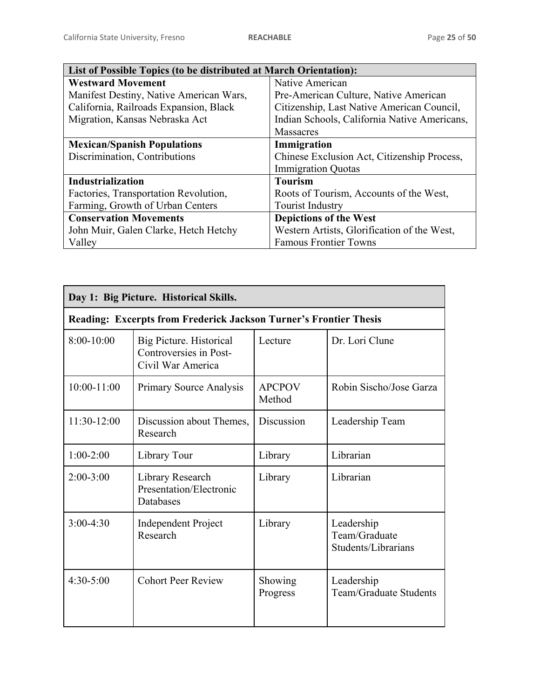| List of Possible Topics (to be distributed at March Orientation): |                                              |
|-------------------------------------------------------------------|----------------------------------------------|
| <b>Westward Movement</b>                                          | Native American                              |
| Manifest Destiny, Native American Wars,                           | Pre-American Culture, Native American        |
| California, Railroads Expansion, Black                            | Citizenship, Last Native American Council,   |
| Migration, Kansas Nebraska Act                                    | Indian Schools, California Native Americans, |
|                                                                   | <b>Massacres</b>                             |
| <b>Mexican/Spanish Populations</b>                                | Immigration                                  |
| Discrimination, Contributions                                     | Chinese Exclusion Act, Citizenship Process,  |
|                                                                   | <b>Immigration Quotas</b>                    |
| Industrialization                                                 | <b>Tourism</b>                               |
| Factories, Transportation Revolution,                             | Roots of Tourism, Accounts of the West,      |
| Farming, Growth of Urban Centers                                  | <b>Tourist Industry</b>                      |
| <b>Conservation Movements</b>                                     | <b>Depictions of the West</b>                |
| John Muir, Galen Clarke, Hetch Hetchy                             | Western Artists, Glorification of the West,  |
| Valley                                                            | <b>Famous Frontier Towns</b>                 |

| Day 1: Big Picture. Historical Skills. |                                                                        |                         |                                                    |
|----------------------------------------|------------------------------------------------------------------------|-------------------------|----------------------------------------------------|
|                                        | Reading: Excerpts from Frederick Jackson Turner's Frontier Thesis      |                         |                                                    |
| $8:00-10:00$                           | Big Picture. Historical<br>Controversies in Post-<br>Civil War America | Lecture                 | Dr. Lori Clune                                     |
| $10:00 - 11:00$                        | <b>Primary Source Analysis</b>                                         | <b>APCPOV</b><br>Method | Robin Sischo/Jose Garza                            |
| 11:30-12:00                            | Discussion about Themes,<br>Research                                   | Discussion              | Leadership Team                                    |
| $1:00-2:00$                            | Library Tour                                                           | Library                 | Librarian                                          |
| $2:00-3:00$                            | Library Research<br>Presentation/Electronic<br>Databases               | Library                 | Librarian                                          |
| $3:00-4:30$                            | <b>Independent Project</b><br>Research                                 | Library                 | Leadership<br>Team/Graduate<br>Students/Librarians |
| $4:30-5:00$                            | <b>Cohort Peer Review</b>                                              | Showing<br>Progress     | Leadership<br>Team/Graduate Students               |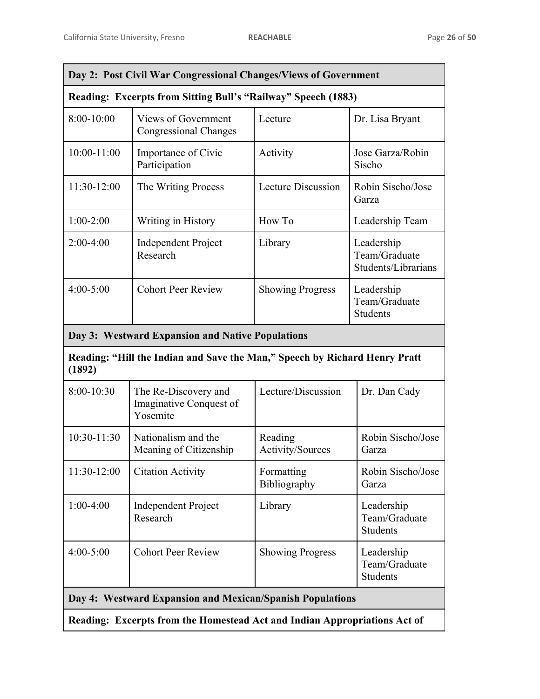| Day 2: Post Civil War Congressional Changes/Views of Government                      |                                                             |                             |                                                    |
|--------------------------------------------------------------------------------------|-------------------------------------------------------------|-----------------------------|----------------------------------------------------|
| <b>Reading: Excerpts from Sitting Bull's "Railway" Speech (1883)</b>                 |                                                             |                             |                                                    |
| 8:00-10:00                                                                           | <b>Views of Government</b><br><b>Congressional Changes</b>  | Lecture                     | Dr. Lisa Bryant                                    |
| $10:00 - 11:00$                                                                      | Importance of Civic<br>Participation                        | Activity                    | Jose Garza/Robin<br>Sischo                         |
| 11:30-12:00                                                                          | The Writing Process                                         | Lecture Discussion          | Robin Sischo/Jose<br>Garza                         |
| $1:00-2:00$                                                                          | Writing in History                                          | How To                      | Leadership Team                                    |
| $2:00-4:00$                                                                          | <b>Independent Project</b><br>Research                      | Library                     | Leadership<br>Team/Graduate<br>Students/Librarians |
| $4:00 - 5:00$                                                                        | <b>Cohort Peer Review</b>                                   | <b>Showing Progress</b>     | Leadership<br>Team/Graduate<br><b>Students</b>     |
|                                                                                      | Day 3: Westward Expansion and Native Populations            |                             |                                                    |
| Reading: "Hill the Indian and Save the Man," Speech by Richard Henry Pratt<br>(1892) |                                                             |                             |                                                    |
| 8:00-10:30                                                                           | The Re-Discovery and<br>Imaginative Conquest of<br>Yosemite | Lecture/Discussion          | Dr. Dan Cady                                       |
| $10:30-11:30$                                                                        | Nationalism and the<br>Meaning of Citizenship               | Reading<br>Activity/Sources | Robin Sischo/Jose<br>Garza                         |
| 11:30-12:00                                                                          | <b>Citation Activity</b>                                    | Formatting<br>Bibliography  | Robin Sischo/Jose<br>Garza                         |
| $1:00-4:00$                                                                          | <b>Independent Project</b><br>Research                      | Library                     | Leadership<br>Team/Graduate<br>Students            |
| 4:00-5:00                                                                            | <b>Cohort Peer Review</b>                                   | <b>Showing Progress</b>     | Leadership<br>Team/Graduate<br><b>Students</b>     |
|                                                                                      | Day 4: Westward Expansion and Mexican/Spanish Populations   |                             |                                                    |
| Reading: Excerpts from the Homestead Act and Indian Appropriations Act of            |                                                             |                             |                                                    |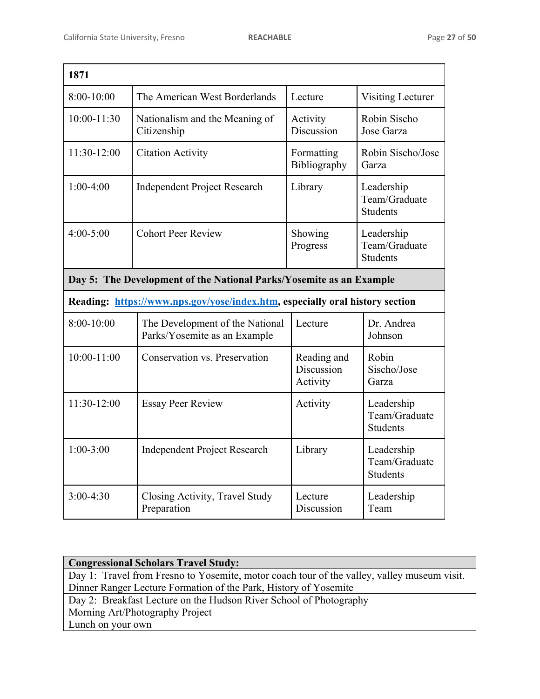| 1871                                                                |                                                                              |                                       |                                                |
|---------------------------------------------------------------------|------------------------------------------------------------------------------|---------------------------------------|------------------------------------------------|
| $8:00-10:00$                                                        | The American West Borderlands                                                | Lecture                               | Visiting Lecturer                              |
| 10:00-11:30                                                         | Nationalism and the Meaning of<br>Citizenship                                | Activity<br>Discussion                | Robin Sischo<br>Jose Garza                     |
| 11:30-12:00                                                         | <b>Citation Activity</b>                                                     | Formatting<br>Bibliography            | Robin Sischo/Jose<br>Garza                     |
| $1:00-4:00$                                                         | <b>Independent Project Research</b>                                          | Library                               | Leadership<br>Team/Graduate<br><b>Students</b> |
| $4:00 - 5:00$                                                       | <b>Cohort Peer Review</b>                                                    | Showing<br>Progress                   | Leadership<br>Team/Graduate<br><b>Students</b> |
| Day 5: The Development of the National Parks/Yosemite as an Example |                                                                              |                                       |                                                |
|                                                                     | Reading: https://www.nps.gov/yose/index.htm, especially oral history section |                                       |                                                |
| $8:00-10:00$                                                        | The Development of the National<br>Parks/Yosemite as an Example              | Lecture                               | Dr. Andrea<br>Johnson                          |
| $10:00 - 11:00$                                                     | Conservation vs. Preservation                                                | Reading and<br>Discussion<br>Activity | Robin<br>Sischo/Jose<br>Garza                  |
| 11:30-12:00                                                         | <b>Essay Peer Review</b>                                                     | Activity                              | Leadership<br>Team/Graduate<br><b>Students</b> |
| $1:00-3:00$                                                         | <b>Independent Project Research</b>                                          | Library                               | Leadership<br>Team/Graduate<br><b>Students</b> |
| $3:00-4:30$                                                         | Closing Activity, Travel Study<br>Preparation                                | Lecture<br>Discussion                 | Leadership<br>Team                             |

| <b>Congressional Scholars Travel Study:</b>                                                 |
|---------------------------------------------------------------------------------------------|
| Day 1: Travel from Fresno to Yosemite, motor coach tour of the valley, valley museum visit. |
| Dinner Ranger Lecture Formation of the Park, History of Yosemite                            |
| Day 2: Breakfast Lecture on the Hudson River School of Photography                          |
| Morning Art/Photography Project                                                             |
| Lunch on your own                                                                           |
|                                                                                             |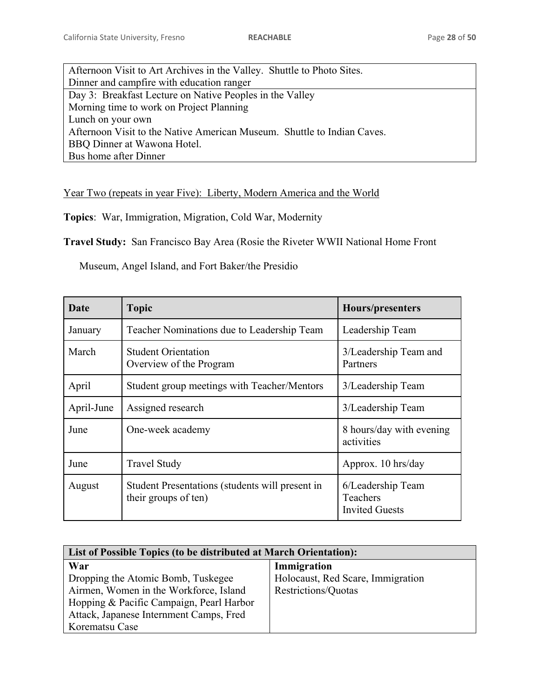| Afternoon Visit to Art Archives in the Valley. Shuttle to Photo Sites.  |
|-------------------------------------------------------------------------|
| Dinner and campfire with education ranger                               |
| Day 3: Breakfast Lecture on Native Peoples in the Valley                |
| Morning time to work on Project Planning                                |
| Lunch on your own                                                       |
| Afternoon Visit to the Native American Museum. Shuttle to Indian Caves. |
| BBQ Dinner at Wawona Hotel.                                             |
| Bus home after Dinner                                                   |

Year Two (repeats in year Five): Liberty, Modern America and the World

**Topics**: War, Immigration, Migration, Cold War, Modernity

**Travel Study:** San Francisco Bay Area (Rosie the Riveter WWII National Home Front

Museum, Angel Island, and Fort Baker/the Presidio

| <b>Date</b> | <b>Topic</b>                                                            | Hours/presenters                                       |  |
|-------------|-------------------------------------------------------------------------|--------------------------------------------------------|--|
| January     | Teacher Nominations due to Leadership Team                              | Leadership Team                                        |  |
| March       | <b>Student Orientation</b><br>Overview of the Program                   | 3/Leadership Team and<br>Partners                      |  |
| April       | Student group meetings with Teacher/Mentors                             | 3/Leadership Team                                      |  |
| April-June  | Assigned research                                                       | 3/Leadership Team                                      |  |
| June        | One-week academy                                                        | 8 hours/day with evening<br>activities                 |  |
| June        | <b>Travel Study</b>                                                     | Approx. 10 hrs/day                                     |  |
| August      | Student Presentations (students will present in<br>their groups of ten) | 6/Leadership Team<br>Teachers<br><b>Invited Guests</b> |  |

| List of Possible Topics (to be distributed at March Orientation): |                                   |  |  |  |
|-------------------------------------------------------------------|-----------------------------------|--|--|--|
| War                                                               | Immigration                       |  |  |  |
| Dropping the Atomic Bomb, Tuskegee                                | Holocaust, Red Scare, Immigration |  |  |  |
| Airmen, Women in the Workforce, Island                            | Restrictions/Quotas               |  |  |  |
| Hopping & Pacific Campaign, Pearl Harbor                          |                                   |  |  |  |
| Attack, Japanese Internment Camps, Fred                           |                                   |  |  |  |
| Korematsu Case                                                    |                                   |  |  |  |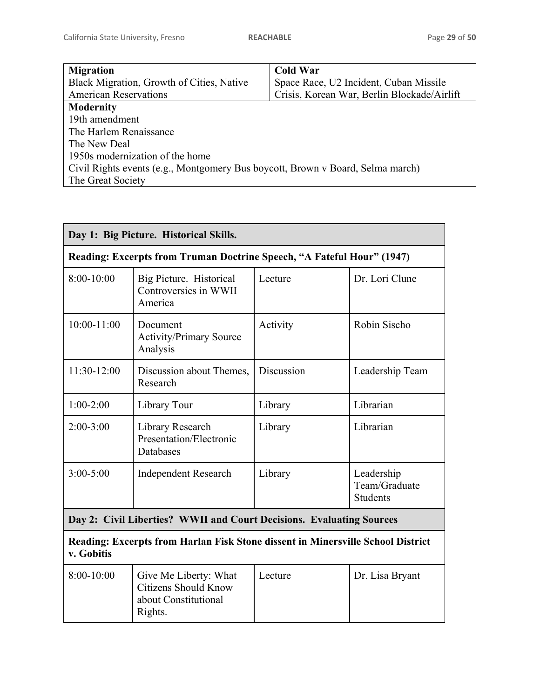| <b>Migration</b>                                                               | <b>Cold War</b>                             |  |  |
|--------------------------------------------------------------------------------|---------------------------------------------|--|--|
| Black Migration, Growth of Cities, Native                                      | Space Race, U2 Incident, Cuban Missile      |  |  |
| <b>American Reservations</b>                                                   | Crisis, Korean War, Berlin Blockade/Airlift |  |  |
| <b>Modernity</b>                                                               |                                             |  |  |
| 19th amendment                                                                 |                                             |  |  |
| The Harlem Renaissance                                                         |                                             |  |  |
| The New Deal                                                                   |                                             |  |  |
| 1950s modernization of the home                                                |                                             |  |  |
| Civil Rights events (e.g., Montgomery Bus boycott, Brown v Board, Selma march) |                                             |  |  |
| The Great Society                                                              |                                             |  |  |

| Day 1: Big Picture. Historical Skills.                                                        |                                                                                         |            |                                                |  |  |
|-----------------------------------------------------------------------------------------------|-----------------------------------------------------------------------------------------|------------|------------------------------------------------|--|--|
|                                                                                               | Reading: Excerpts from Truman Doctrine Speech, "A Fateful Hour" (1947)                  |            |                                                |  |  |
| 8:00-10:00                                                                                    | Big Picture. Historical<br>Controversies in WWII<br>America                             | Lecture    | Dr. Lori Clune                                 |  |  |
| $10:00 - 11:00$                                                                               | Document<br><b>Activity/Primary Source</b><br>Analysis                                  | Activity   | Robin Sischo                                   |  |  |
| 11:30-12:00                                                                                   | Discussion about Themes,<br>Research                                                    | Discussion | Leadership Team                                |  |  |
| $1:00-2:00$                                                                                   | Library Tour                                                                            | Library    | Librarian                                      |  |  |
| $2:00-3:00$                                                                                   | Library Research<br>Presentation/Electronic<br>Databases                                | Library    | Librarian                                      |  |  |
| $3:00 - 5:00$<br><b>Independent Research</b>                                                  |                                                                                         | Library    | Leadership<br>Team/Graduate<br><b>Students</b> |  |  |
| Day 2: Civil Liberties? WWII and Court Decisions. Evaluating Sources                          |                                                                                         |            |                                                |  |  |
| Reading: Excerpts from Harlan Fisk Stone dissent in Minersville School District<br>v. Gobitis |                                                                                         |            |                                                |  |  |
| $8:00-10:00$                                                                                  | Give Me Liberty: What<br><b>Citizens Should Know</b><br>about Constitutional<br>Rights. | Lecture    | Dr. Lisa Bryant                                |  |  |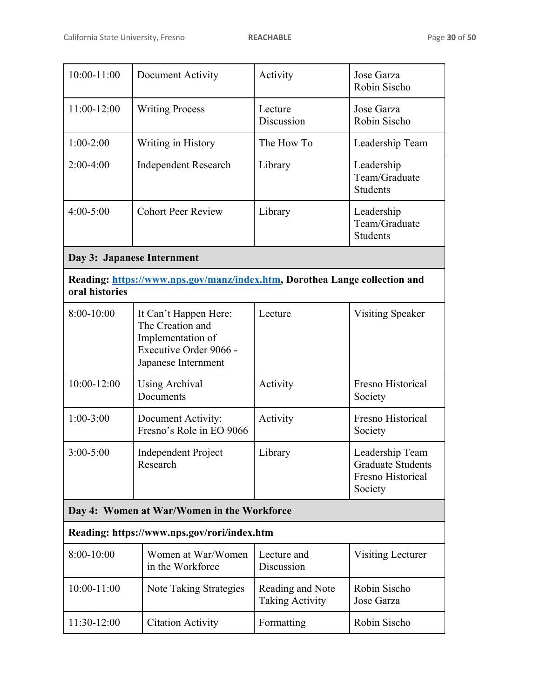| 10:00-11:00                                | Document Activity                                                                                               | Activity                                   | Jose Garza<br>Robin Sischo                                                  |  |  |
|--------------------------------------------|-----------------------------------------------------------------------------------------------------------------|--------------------------------------------|-----------------------------------------------------------------------------|--|--|
| 11:00-12:00                                | <b>Writing Process</b>                                                                                          | Lecture<br>Discussion                      | Jose Garza<br>Robin Sischo                                                  |  |  |
| $1:00-2:00$                                | Writing in History                                                                                              | The How To                                 | Leadership Team                                                             |  |  |
| $2:00-4:00$                                | <b>Independent Research</b>                                                                                     | Library                                    | Leadership<br>Team/Graduate<br><b>Students</b>                              |  |  |
| $4:00 - 5:00$                              | <b>Cohort Peer Review</b>                                                                                       | Library                                    | Leadership<br>Team/Graduate<br><b>Students</b>                              |  |  |
|                                            | Day 3: Japanese Internment                                                                                      |                                            |                                                                             |  |  |
| oral histories                             | Reading: https://www.nps.gov/manz/index.htm, Dorothea Lange collection and                                      |                                            |                                                                             |  |  |
| $8:00-10:00$                               | It Can't Happen Here:<br>The Creation and<br>Implementation of<br>Executive Order 9066 -<br>Japanese Internment | Lecture                                    | <b>Visiting Speaker</b>                                                     |  |  |
| 10:00-12:00                                | <b>Using Archival</b><br>Documents                                                                              | Activity                                   | Fresno Historical<br>Society                                                |  |  |
| $1:00-3:00$                                | Document Activity:<br>Fresno's Role in EO 9066                                                                  | Activity                                   | Fresno Historical<br>Society                                                |  |  |
| $3:00 - 5:00$                              | <b>Independent Project</b><br>Research                                                                          | Library                                    | Leadership Team<br><b>Graduate Students</b><br>Fresno Historical<br>Society |  |  |
| Day 4: Women at War/Women in the Workforce |                                                                                                                 |                                            |                                                                             |  |  |
|                                            | Reading: https://www.nps.gov/rori/index.htm                                                                     |                                            |                                                                             |  |  |
| 8:00-10:00                                 | Women at War/Women<br>in the Workforce                                                                          | Lecture and<br>Discussion                  | Visiting Lecturer                                                           |  |  |
| 10:00-11:00                                | Note Taking Strategies                                                                                          | Reading and Note<br><b>Taking Activity</b> | Robin Sischo<br>Jose Garza                                                  |  |  |
| 11:30-12:00                                | <b>Citation Activity</b>                                                                                        | Formatting                                 | Robin Sischo                                                                |  |  |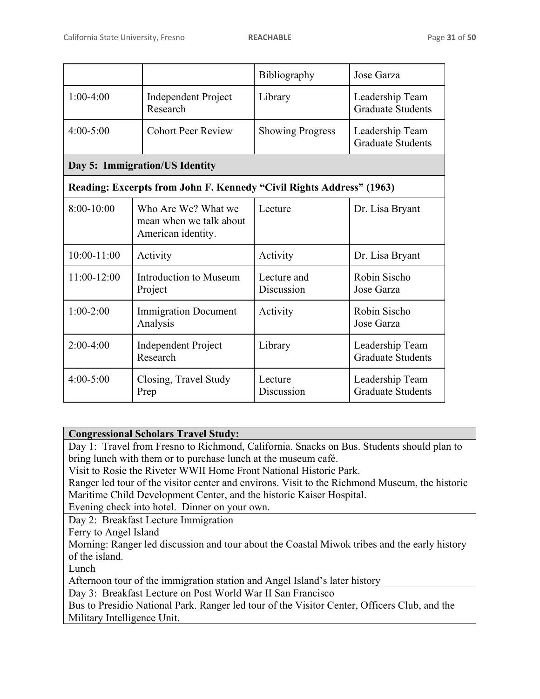|                 |                                                                      | Bibliography              | Jose Garza                                  |  |
|-----------------|----------------------------------------------------------------------|---------------------------|---------------------------------------------|--|
| $1:00-4:00$     | <b>Independent Project</b><br>Research                               | Library                   | Leadership Team<br><b>Graduate Students</b> |  |
| $4:00 - 5:00$   | <b>Cohort Peer Review</b>                                            | <b>Showing Progress</b>   | Leadership Team<br><b>Graduate Students</b> |  |
|                 | Day 5: Immigration/US Identity                                       |                           |                                             |  |
|                 | Reading: Excerpts from John F. Kennedy "Civil Rights Address" (1963) |                           |                                             |  |
| $8:00-10:00$    | Who Are We? What we<br>mean when we talk about<br>American identity. | Lecture                   | Dr. Lisa Bryant                             |  |
| $10:00 - 11:00$ | Activity                                                             | Activity                  | Dr. Lisa Bryant                             |  |
| 11:00-12:00     | Introduction to Museum<br>Project                                    | Lecture and<br>Discussion | Robin Sischo<br>Jose Garza                  |  |
| $1:00-2:00$     | <b>Immigration Document</b><br>Analysis                              | Activity                  | Robin Sischo<br>Jose Garza                  |  |
| $2:00-4:00$     | <b>Independent Project</b><br>Research                               | Library                   | Leadership Team<br><b>Graduate Students</b> |  |
| $4:00 - 5:00$   | Closing, Travel Study<br>Prep                                        | Lecture<br>Discussion     | Leadership Team<br><b>Graduate Students</b> |  |

# **Congressional Scholars Travel Study:**

Day 1: Travel from Fresno to Richmond, California. Snacks on Bus. Students should plan to bring lunch with them or to purchase lunch at the museum café.

Visit to Rosie the Riveter WWII Home Front National Historic Park.

Ranger led tour of the visitor center and environs. Visit to the Richmond Museum, the historic Maritime Child Development Center, and the historic Kaiser Hospital.

Evening check into hotel. Dinner on your own.

Day 2: Breakfast Lecture Immigration

Ferry to Angel Island

Morning: Ranger led discussion and tour about the Coastal Miwok tribes and the early history of the island.

Lunch

Afternoon tour of the immigration station and Angel Island's later history

Day 3: Breakfast Lecture on Post World War II San Francisco

Bus to Presidio National Park. Ranger led tour of the Visitor Center, Officers Club, and the Military Intelligence Unit.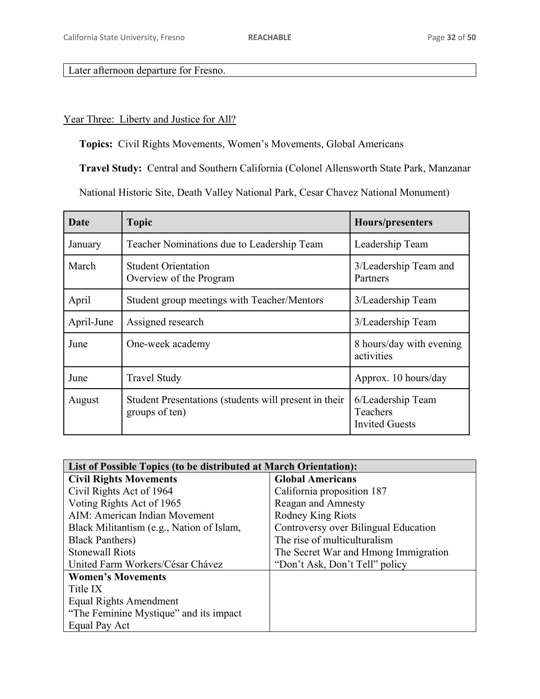# Later afternoon departure for Fresno.

# Year Three: Liberty and Justice for All?

**Topics:** Civil Rights Movements, Women's Movements, Global Americans

**Travel Study:** Central and Southern California (Colonel Allensworth State Park, Manzanar

National Historic Site, Death Valley National Park, Cesar Chavez National Monument)

| Date       | <b>Topic</b>                                                            | Hours/presenters                                       |  |
|------------|-------------------------------------------------------------------------|--------------------------------------------------------|--|
| January    | Teacher Nominations due to Leadership Team                              | Leadership Team                                        |  |
| March      | <b>Student Orientation</b><br>Overview of the Program                   | 3/Leadership Team and<br>Partners                      |  |
| April      | Student group meetings with Teacher/Mentors                             | 3/Leadership Team                                      |  |
| April-June | Assigned research                                                       | 3/Leadership Team                                      |  |
| June       | One-week academy                                                        | 8 hours/day with evening<br>activities                 |  |
| June       | <b>Travel Study</b>                                                     | Approx. 10 hours/day                                   |  |
| August     | Student Presentations (students will present in their<br>groups of ten) | 6/Leadership Team<br>Teachers<br><b>Invited Guests</b> |  |

| List of Possible Topics (to be distributed at March Orientation): |                                      |  |  |  |
|-------------------------------------------------------------------|--------------------------------------|--|--|--|
| <b>Civil Rights Movements</b>                                     | <b>Global Americans</b>              |  |  |  |
| Civil Rights Act of 1964                                          | California proposition 187           |  |  |  |
| Voting Rights Act of 1965                                         | Reagan and Amnesty                   |  |  |  |
| AIM: American Indian Movement                                     | Rodney King Riots                    |  |  |  |
| Black Militantism (e.g., Nation of Islam,                         | Controversy over Bilingual Education |  |  |  |
| <b>Black Panthers</b> )                                           | The rise of multiculturalism         |  |  |  |
| <b>Stonewall Riots</b>                                            | The Secret War and Hmong Immigration |  |  |  |
| United Farm Workers/César Chávez                                  | "Don't Ask, Don't Tell" policy       |  |  |  |
| <b>Women's Movements</b>                                          |                                      |  |  |  |
| Title IX                                                          |                                      |  |  |  |
| Equal Rights Amendment                                            |                                      |  |  |  |
| "The Feminine Mystique" and its impact                            |                                      |  |  |  |
| Equal Pay Act                                                     |                                      |  |  |  |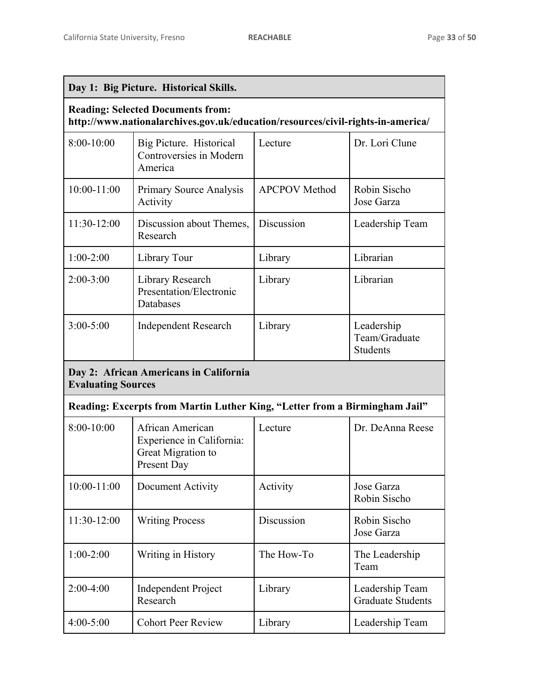| Day 1: Big Picture. Historical Skills.                                                                                      |                                                                                    |                      |                                                |  |  |  |
|-----------------------------------------------------------------------------------------------------------------------------|------------------------------------------------------------------------------------|----------------------|------------------------------------------------|--|--|--|
| <b>Reading: Selected Documents from:</b><br>http://www.nationalarchives.gov.uk/education/resources/civil-rights-in-america/ |                                                                                    |                      |                                                |  |  |  |
| $8:00-10:00$                                                                                                                | Big Picture. Historical<br>Controversies in Modern<br>America                      | Lecture              | Dr. Lori Clune                                 |  |  |  |
| $10:00 - 11:00$                                                                                                             | <b>Primary Source Analysis</b><br>Activity                                         | <b>APCPOV</b> Method | Robin Sischo<br>Jose Garza                     |  |  |  |
| 11:30-12:00                                                                                                                 | Discussion about Themes,<br>Research                                               | Discussion           | Leadership Team                                |  |  |  |
| $1:00-2:00$                                                                                                                 | Library Tour                                                                       | Library              | Librarian                                      |  |  |  |
| $2:00-3:00$                                                                                                                 | Library Research<br>Presentation/Electronic<br>Databases                           | Library              | Librarian                                      |  |  |  |
| $3:00 - 5:00$                                                                                                               | <b>Independent Research</b>                                                        | Library              | Leadership<br>Team/Graduate<br><b>Students</b> |  |  |  |
|                                                                                                                             | Day 2: African Americans in California<br><b>Evaluating Sources</b>                |                      |                                                |  |  |  |
|                                                                                                                             | Reading: Excerpts from Martin Luther King, "Letter from a Birmingham Jail"         |                      |                                                |  |  |  |
| $8:00-10:00$                                                                                                                | African American<br>Experience in California:<br>Great Migration to<br>Present Day | Lecture              | Dr. DeAnna Reese                               |  |  |  |
| 10:00-11:00                                                                                                                 | Document Activity                                                                  | Activity             | Jose Garza<br>Robin Sischo                     |  |  |  |
| 11:30-12:00                                                                                                                 | <b>Writing Process</b>                                                             | Discussion           | Robin Sischo<br>Jose Garza                     |  |  |  |
| $1:00-2:00$                                                                                                                 | Writing in History                                                                 | The How-To           | The Leadership<br>Team                         |  |  |  |
| $2:00-4:00$                                                                                                                 | <b>Independent Project</b><br>Research                                             | Library              | Leadership Team<br><b>Graduate Students</b>    |  |  |  |
| $4:00 - 5:00$                                                                                                               | <b>Cohort Peer Review</b>                                                          | Library              | Leadership Team                                |  |  |  |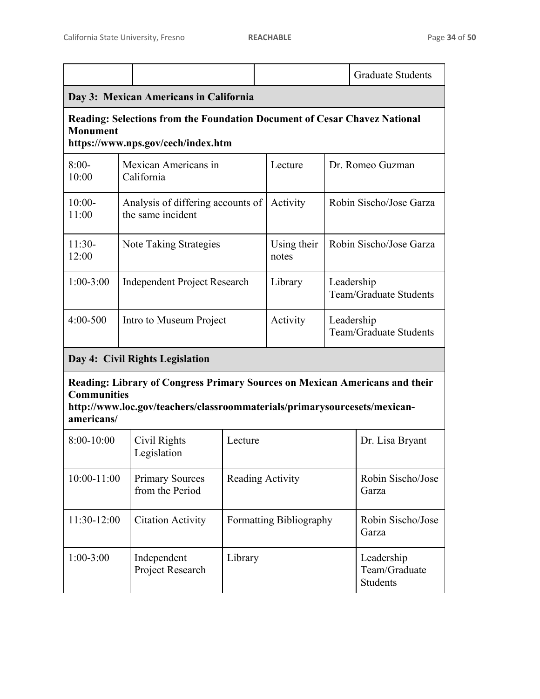|                                                                                                                                                                                              |                                        |                                                        |                                                    |                      |                                             | <b>Graduate Students</b> |
|----------------------------------------------------------------------------------------------------------------------------------------------------------------------------------------------|----------------------------------------|--------------------------------------------------------|----------------------------------------------------|----------------------|---------------------------------------------|--------------------------|
|                                                                                                                                                                                              | Day 3: Mexican Americans in California |                                                        |                                                    |                      |                                             |                          |
| <b>Reading: Selections from the Foundation Document of Cesar Chavez National</b><br><b>Monument</b><br>https://www.nps.gov/cech/index.htm                                                    |                                        |                                                        |                                                    |                      |                                             |                          |
| $8:00-$<br>10:00                                                                                                                                                                             |                                        | Mexican Americans in<br>California                     | Lecture                                            |                      | Dr. Romeo Guzman                            |                          |
| $10:00-$<br>11:00                                                                                                                                                                            |                                        | Analysis of differing accounts of<br>the same incident |                                                    | Activity             |                                             | Robin Sischo/Jose Garza  |
| $11:30-$<br>12:00                                                                                                                                                                            |                                        | Note Taking Strategies                                 |                                                    | Using their<br>notes |                                             | Robin Sischo/Jose Garza  |
| $1:00-3:00$                                                                                                                                                                                  |                                        | Independent Project Research                           |                                                    | Library              | Leadership<br><b>Team/Graduate Students</b> |                          |
| $4:00 - 500$                                                                                                                                                                                 |                                        | Intro to Museum Project<br>Activity                    |                                                    |                      | Leadership<br>Team/Graduate Students        |                          |
|                                                                                                                                                                                              |                                        | Day 4: Civil Rights Legislation                        |                                                    |                      |                                             |                          |
| Reading: Library of Congress Primary Sources on Mexican Americans and their<br><b>Communities</b><br>http://www.loc.gov/teachers/classroommaterials/primarysourcesets/mexican-<br>americans/ |                                        |                                                        |                                                    |                      |                                             |                          |
| 8:00-10:00                                                                                                                                                                                   |                                        | Civil Rights<br>Legislation                            | Lecture<br>Dr. Lisa Bryant                         |                      |                                             |                          |
| 10:00-11:00                                                                                                                                                                                  |                                        | <b>Primary Sources</b><br>from the Period              | Reading Activity                                   |                      | Robin Sischo/Jose<br>Garza                  |                          |
| 11:30-12:00                                                                                                                                                                                  |                                        | <b>Citation Activity</b>                               | Formatting Bibliography                            |                      | Robin Sischo/Jose<br>Garza                  |                          |
| $1:00-3:00$                                                                                                                                                                                  |                                        | Independent<br>Project Research                        | Library<br>Leadership<br>Team/Graduate<br>Students |                      |                                             |                          |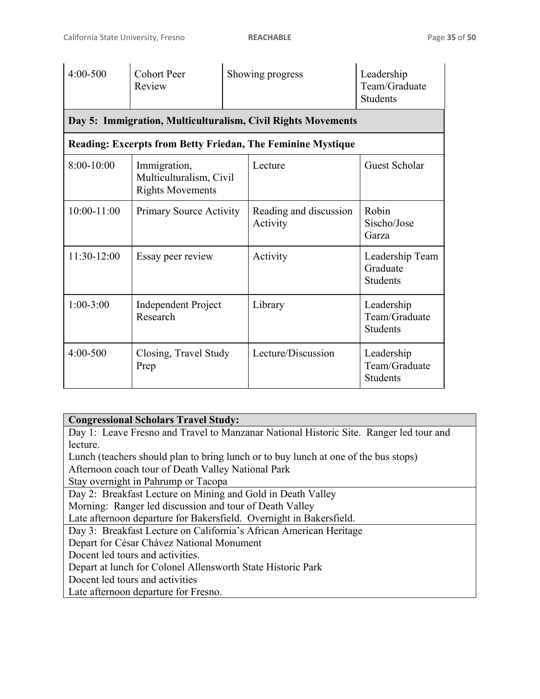| 4:00-500        | <b>Cohort Peer</b><br>Review                                       |  | Showing progress                                                   | Leadership<br>Team/Graduate<br><b>Students</b> |
|-----------------|--------------------------------------------------------------------|--|--------------------------------------------------------------------|------------------------------------------------|
|                 |                                                                    |  | Day 5: Immigration, Multiculturalism, Civil Rights Movements       |                                                |
|                 |                                                                    |  | <b>Reading: Excerpts from Betty Friedan, The Feminine Mystique</b> |                                                |
| $8:00-10:00$    | Immigration,<br>Multiculturalism, Civil<br><b>Rights Movements</b> |  | Lecture                                                            | Guest Scholar                                  |
| $10:00 - 11:00$ | <b>Primary Source Activity</b>                                     |  | Reading and discussion<br>Activity                                 | Robin<br>Sischo/Jose<br>Garza                  |
| 11:30-12:00     | Essay peer review                                                  |  | Activity                                                           | Leadership Team<br>Graduate<br><b>Students</b> |
| $1:00-3:00$     | <b>Independent Project</b><br>Research                             |  | Library                                                            | Leadership<br>Team/Graduate<br><b>Students</b> |
| 4:00-500        | Closing, Travel Study<br>Prep                                      |  | Lecture/Discussion                                                 | Leadership<br>Team/Graduate<br><b>Students</b> |

# **Congressional Scholars Travel Study:**

Day 1: Leave Fresno and Travel to Manzanar National Historic Site. Ranger led tour and lecture.

Lunch (teachers should plan to bring lunch or to buy lunch at one of the bus stops) Afternoon coach tour of Death Valley National Park

Stay overnight in Pahrump or Tacopa

Day 2: Breakfast Lecture on Mining and Gold in Death Valley

Morning: Ranger led discussion and tour of Death Valley

Late afternoon departure for Bakersfield. Overnight in Bakersfield.

Day 3: Breakfast Lecture on California's African American Heritage

Depart for César Chávez National Monument

Docent led tours and activities.

Depart at lunch for Colonel Allensworth State Historic Park

Docent led tours and activities

Late afternoon departure for Fresno.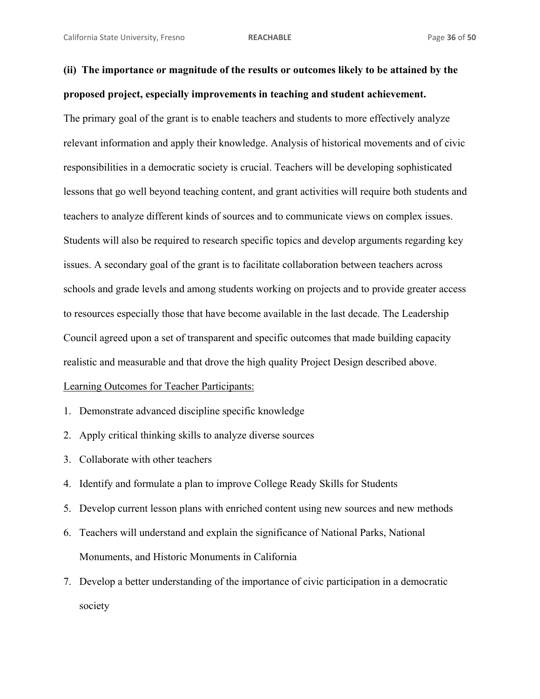```
(ii) The importance or magnitude of the results or outcomes likely to be attained by the 
proposed project, especially improvements in teaching and student achievement.
```
The primary goal of the grant is to enable teachers and students to more effectively analyze relevant information and apply their knowledge. Analysis of historical movements and of civic responsibilities in a democratic society is crucial. Teachers will be developing sophisticated lessons that go well beyond teaching content, and grant activities will require both students and teachers to analyze different kinds of sources and to communicate views on complex issues. Students will also be required to research specific topics and develop arguments regarding key issues. A secondary goal of the grant is to facilitate collaboration between teachers across schools and grade levels and among students working on projects and to provide greater access to resources especially those that have become available in the last decade. The Leadership Council agreed upon a set of transparent and specific outcomes that made building capacity realistic and measurable and that drove the high quality Project Design described above. Learning Outcomes for Teacher Participants:

- 1. Demonstrate advanced discipline specific knowledge
- 2. Apply critical thinking skills to analyze diverse sources
- 3. Collaborate with other teachers
- 4. Identify and formulate a plan to improve College Ready Skills for Students
- 5. Develop current lesson plans with enriched content using new sources and new methods
- 6. Teachers will understand and explain the significance of National Parks, National Monuments, and Historic Monuments in California
- 7. Develop a better understanding of the importance of civic participation in a democratic society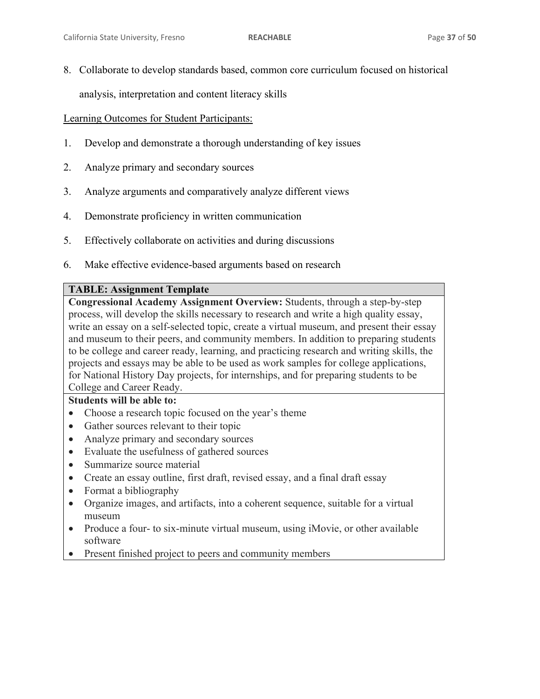8. Collaborate to develop standards based, common core curriculum focused on historical

analysis, interpretation and content literacy skills

# Learning Outcomes for Student Participants:

- 1. Develop and demonstrate a thorough understanding of key issues
- 2. Analyze primary and secondary sources
- 3. Analyze arguments and comparatively analyze different views
- 4. Demonstrate proficiency in written communication
- 5. Effectively collaborate on activities and during discussions
- 6. Make effective evidence-based arguments based on research

# **TABLE: Assignment Template**

**Congressional Academy Assignment Overview:** Students, through a step-by-step process, will develop the skills necessary to research and write a high quality essay, write an essay on a self-selected topic, create a virtual museum, and present their essay and museum to their peers, and community members. In addition to preparing students to be college and career ready, learning, and practicing research and writing skills, the projects and essays may be able to be used as work samples for college applications, for National History Day projects, for internships, and for preparing students to be College and Career Ready.

# **Students will be able to:**

- Choose a research topic focused on the year's theme
- Gather sources relevant to their topic
- Analyze primary and secondary sources
- Evaluate the usefulness of gathered sources
- $\bullet$  Summarize source material
- Create an essay outline, first draft, revised essay, and a final draft essay
- $\bullet$  Format a bibliography
- Organize images, and artifacts, into a coherent sequence, suitable for a virtual museum
- Produce a four- to six-minute virtual museum, using iMovie, or other available software
- Present finished project to peers and community members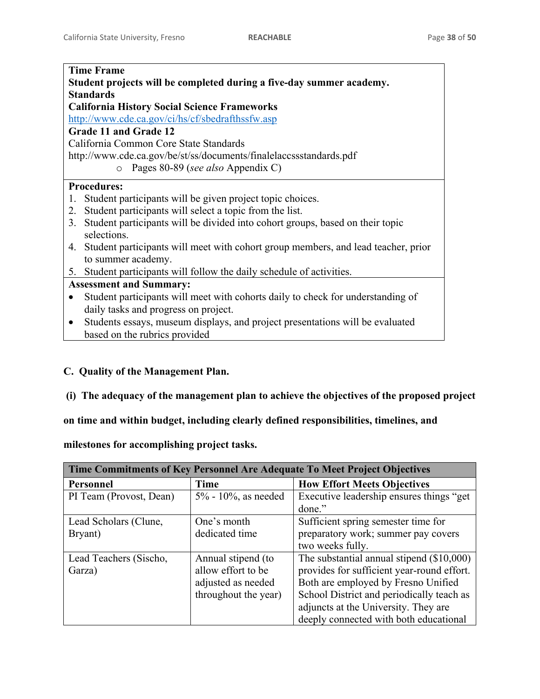| <b>Time Frame</b>                                                                          |  |  |  |
|--------------------------------------------------------------------------------------------|--|--|--|
| Student projects will be completed during a five-day summer academy.                       |  |  |  |
| <b>Standards</b>                                                                           |  |  |  |
| <b>California History Social Science Frameworks</b>                                        |  |  |  |
| http://www.cde.ca.gov/ci/hs/cf/sbedrafthssfw.asp                                           |  |  |  |
| Grade 11 and Grade 12                                                                      |  |  |  |
| California Common Core State Standards                                                     |  |  |  |
| http://www.cde.ca.gov/be/st/ss/documents/finalelaccssstandards.pdf                         |  |  |  |
| Pages 80-89 (see also Appendix C)<br>$\circ$                                               |  |  |  |
| <b>Procedures:</b>                                                                         |  |  |  |
| Student participants will be given project topic choices.<br>$1_{-}$                       |  |  |  |
| Student participants will select a topic from the list.<br>2.                              |  |  |  |
| Student participants will be divided into cohort groups, based on their topic<br>3.        |  |  |  |
| selections.                                                                                |  |  |  |
| Student participants will meet with cohort group members, and lead teacher, prior<br>4.    |  |  |  |
| to summer academy.                                                                         |  |  |  |
| Student participants will follow the daily schedule of activities.<br>5.                   |  |  |  |
| <b>Assessment and Summary:</b>                                                             |  |  |  |
| Student participants will meet with cohorts daily to check for understanding of            |  |  |  |
| daily tasks and progress on project.                                                       |  |  |  |
| Students essays, museum displays, and project presentations will be evaluated<br>$\bullet$ |  |  |  |
| based on the rubrics provided                                                              |  |  |  |
|                                                                                            |  |  |  |

# **C. Quality of the Management Plan.**

# **(i) The adequacy of the management plan to achieve the objectives of the proposed project**

**on time and within budget, including clearly defined responsibilities, timelines, and** 

**milestones for accomplishing project tasks.** 

| Time Commitments of Key Personnel Are Adequate To Meet Project Objectives |                        |                                             |  |  |
|---------------------------------------------------------------------------|------------------------|---------------------------------------------|--|--|
| Personnel                                                                 | Time                   | <b>How Effort Meets Objectives</b>          |  |  |
| PI Team (Provost, Dean)                                                   | $5\%$ - 10%, as needed | Executive leadership ensures things "get"   |  |  |
|                                                                           |                        | done."                                      |  |  |
| Lead Scholars (Clune,                                                     | One's month            | Sufficient spring semester time for         |  |  |
| Bryant)                                                                   | dedicated time         | preparatory work; summer pay covers         |  |  |
|                                                                           |                        | two weeks fully.                            |  |  |
| Lead Teachers (Sischo,                                                    | Annual stipend (to     | The substantial annual stipend $(\$10,000)$ |  |  |
| Garza)                                                                    | allow effort to be     | provides for sufficient year-round effort.  |  |  |
|                                                                           | adjusted as needed     | Both are employed by Fresno Unified         |  |  |
|                                                                           | throughout the year)   | School District and periodically teach as   |  |  |
|                                                                           |                        | adjuncts at the University. They are        |  |  |
|                                                                           |                        | deeply connected with both educational      |  |  |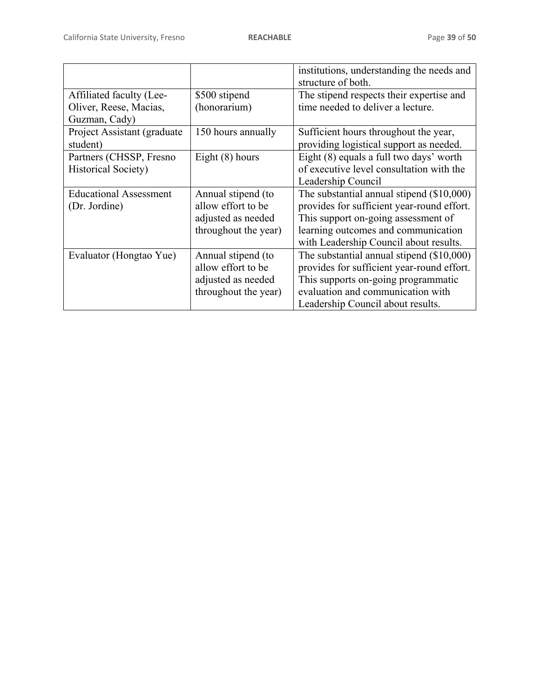|                               |                      | institutions, understanding the needs and   |
|-------------------------------|----------------------|---------------------------------------------|
|                               |                      | structure of both.                          |
| Affiliated faculty (Lee-      | \$500 stipend        | The stipend respects their expertise and    |
| Oliver, Reese, Macias,        | (honorarium)         | time needed to deliver a lecture.           |
| Guzman, Cady)                 |                      |                                             |
| Project Assistant (graduate)  | 150 hours annually   | Sufficient hours throughout the year,       |
| student)                      |                      | providing logistical support as needed.     |
| Partners (CHSSP, Fresno       | Eight $(8)$ hours    | Eight (8) equals a full two days' worth     |
| <b>Historical Society)</b>    |                      | of executive level consultation with the    |
|                               |                      | Leadership Council                          |
| <b>Educational Assessment</b> | Annual stipend (to   | The substantial annual stipend $(\$10,000)$ |
| (Dr. Jordine)                 | allow effort to be   | provides for sufficient year-round effort.  |
|                               | adjusted as needed   | This support on-going assessment of         |
|                               | throughout the year) | learning outcomes and communication         |
|                               |                      | with Leadership Council about results.      |
| Evaluator (Hongtao Yue)       | Annual stipend (to   | The substantial annual stipend (\$10,000)   |
|                               | allow effort to be   | provides for sufficient year-round effort.  |
|                               | adjusted as needed   | This supports on-going programmatic         |
|                               | throughout the year) | evaluation and communication with           |
|                               |                      | Leadership Council about results.           |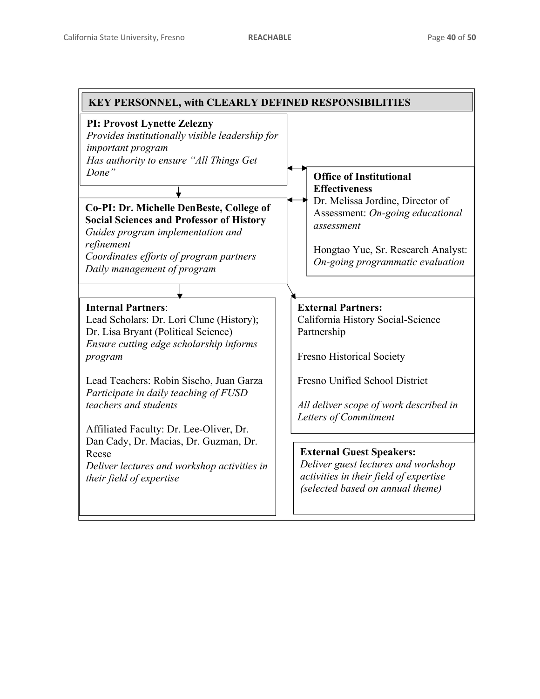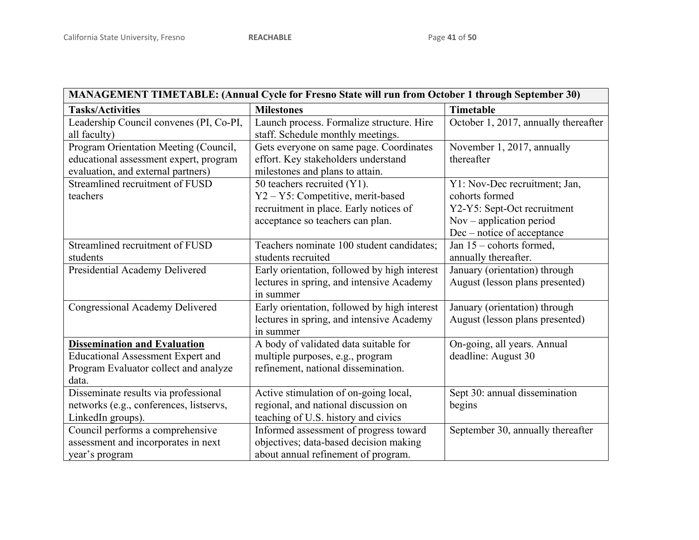| MANAGEMENT TIMETABLE: (Annual Cycle for Fresno State will run from October 1 through September 30) |                                              |                                      |  |  |
|----------------------------------------------------------------------------------------------------|----------------------------------------------|--------------------------------------|--|--|
| <b>Tasks/Activities</b>                                                                            | <b>Milestones</b>                            | Timetable                            |  |  |
| Leadership Council convenes (PI, Co-PI,                                                            | Launch process. Formalize structure. Hire    | October 1, 2017, annually thereafter |  |  |
| all faculty)                                                                                       | staff. Schedule monthly meetings.            |                                      |  |  |
| Program Orientation Meeting (Council,                                                              | Gets everyone on same page. Coordinates      | November 1, 2017, annually           |  |  |
| educational assessment expert, program                                                             | effort. Key stakeholders understand          | thereafter                           |  |  |
| evaluation, and external partners)                                                                 | milestones and plans to attain.              |                                      |  |  |
| Streamlined recruitment of FUSD                                                                    | 50 teachers recruited (Y1).                  | Y1: Nov-Dec recruitment; Jan,        |  |  |
| teachers                                                                                           | Y2 - Y5: Competitive, merit-based            | cohorts formed                       |  |  |
|                                                                                                    | recruitment in place. Early notices of       | Y2-Y5: Sept-Oct recruitment          |  |  |
|                                                                                                    | acceptance so teachers can plan.             | $Nov - application period$           |  |  |
|                                                                                                    |                                              | Dec – notice of acceptance           |  |  |
| Streamlined recruitment of FUSD                                                                    | Teachers nominate 100 student candidates;    | Jan $15$ – cohorts formed,           |  |  |
| students                                                                                           | students recruited                           | annually thereafter.                 |  |  |
| Presidential Academy Delivered                                                                     | Early orientation, followed by high interest | January (orientation) through        |  |  |
|                                                                                                    | lectures in spring, and intensive Academy    | August (lesson plans presented)      |  |  |
|                                                                                                    | in summer                                    |                                      |  |  |
| Congressional Academy Delivered                                                                    | Early orientation, followed by high interest | January (orientation) through        |  |  |
|                                                                                                    | lectures in spring, and intensive Academy    | August (lesson plans presented)      |  |  |
|                                                                                                    | in summer                                    |                                      |  |  |
| <b>Dissemination and Evaluation</b>                                                                | A body of validated data suitable for        | On-going, all years. Annual          |  |  |
| <b>Educational Assessment Expert and</b>                                                           | multiple purposes, e.g., program             | deadline: August 30                  |  |  |
| Program Evaluator collect and analyze                                                              | refinement, national dissemination.          |                                      |  |  |
| data.                                                                                              |                                              |                                      |  |  |
| Disseminate results via professional                                                               | Active stimulation of on-going local,        | Sept 30: annual dissemination        |  |  |
| networks (e.g., conferences, listservs,                                                            | regional, and national discussion on         | begins                               |  |  |
| LinkedIn groups).                                                                                  | teaching of U.S. history and civics          |                                      |  |  |
| Council performs a comprehensive                                                                   | Informed assessment of progress toward       | September 30, annually thereafter    |  |  |
| assessment and incorporates in next                                                                | objectives; data-based decision making       |                                      |  |  |
| year's program                                                                                     | about annual refinement of program.          |                                      |  |  |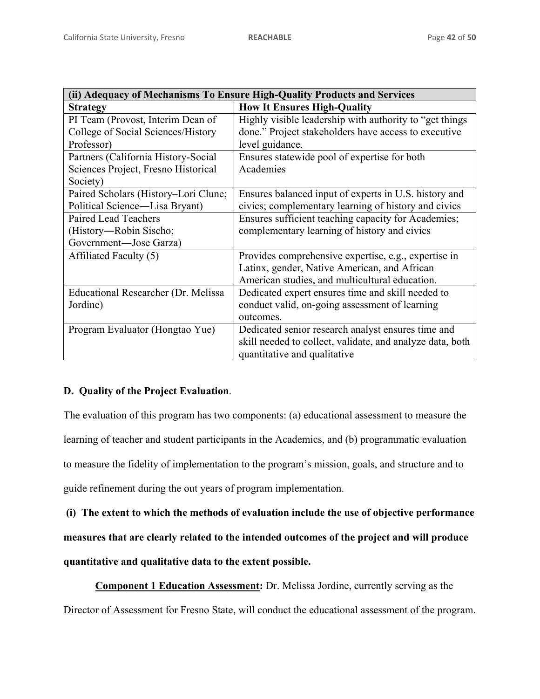| (ii) Adequacy of Mechanisms To Ensure High-Quality Products and Services |                                                           |  |  |  |
|--------------------------------------------------------------------------|-----------------------------------------------------------|--|--|--|
| <b>Strategy</b>                                                          | <b>How It Ensures High-Quality</b>                        |  |  |  |
| PI Team (Provost, Interim Dean of                                        | Highly visible leadership with authority to "get things"  |  |  |  |
| College of Social Sciences/History                                       | done." Project stakeholders have access to executive      |  |  |  |
| Professor)                                                               | level guidance.                                           |  |  |  |
| Partners (California History-Social                                      | Ensures statewide pool of expertise for both              |  |  |  |
| Sciences Project, Fresno Historical                                      | Academies                                                 |  |  |  |
| Society)                                                                 |                                                           |  |  |  |
| Paired Scholars (History–Lori Clune;                                     | Ensures balanced input of experts in U.S. history and     |  |  |  |
| Political Science—Lisa Bryant)                                           | civics; complementary learning of history and civics      |  |  |  |
| Paired Lead Teachers                                                     | Ensures sufficient teaching capacity for Academies;       |  |  |  |
| (History—Robin Sischo;                                                   | complementary learning of history and civics              |  |  |  |
| Government-Jose Garza)                                                   |                                                           |  |  |  |
| Affiliated Faculty (5)                                                   | Provides comprehensive expertise, e.g., expertise in      |  |  |  |
|                                                                          | Latinx, gender, Native American, and African              |  |  |  |
|                                                                          | American studies, and multicultural education.            |  |  |  |
| Educational Researcher (Dr. Melissa                                      | Dedicated expert ensures time and skill needed to         |  |  |  |
| Jordine)                                                                 | conduct valid, on-going assessment of learning            |  |  |  |
|                                                                          | outcomes.                                                 |  |  |  |
| Program Evaluator (Hongtao Yue)                                          | Dedicated senior research analyst ensures time and        |  |  |  |
|                                                                          | skill needed to collect, validate, and analyze data, both |  |  |  |
|                                                                          | quantitative and qualitative                              |  |  |  |

# **D. Quality of the Project Evaluation**.

The evaluation of this program has two components: (a) educational assessment to measure the learning of teacher and student participants in the Academics, and (b) programmatic evaluation to measure the fidelity of implementation to the program's mission, goals, and structure and to guide refinement during the out years of program implementation.

 **(i) The extent to which the methods of evaluation include the use of objective performance measures that are clearly related to the intended outcomes of the project and will produce quantitative and qualitative data to the extent possible.** 

**Component 1 Education Assessment:** Dr. Melissa Jordine, currently serving as the Director of Assessment for Fresno State, will conduct the educational assessment of the program.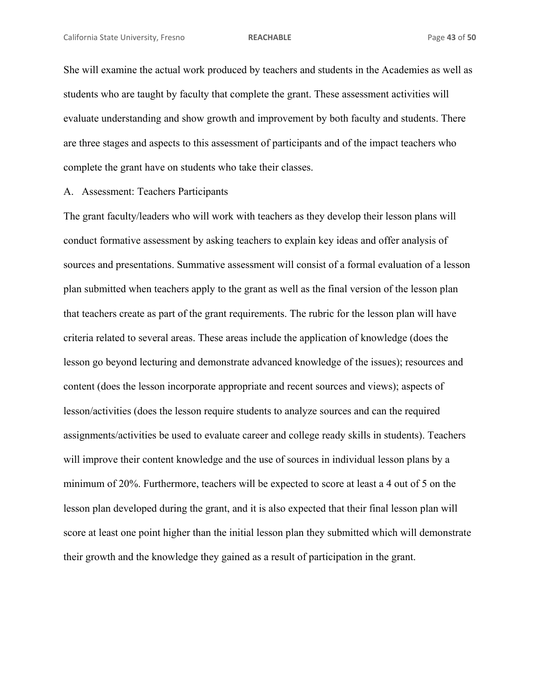She will examine the actual work produced by teachers and students in the Academies as well as students who are taught by faculty that complete the grant. These assessment activities will evaluate understanding and show growth and improvement by both faculty and students. There are three stages and aspects to this assessment of participants and of the impact teachers who complete the grant have on students who take their classes.

A. Assessment: Teachers Participants

The grant faculty/leaders who will work with teachers as they develop their lesson plans will conduct formative assessment by asking teachers to explain key ideas and offer analysis of sources and presentations. Summative assessment will consist of a formal evaluation of a lesson plan submitted when teachers apply to the grant as well as the final version of the lesson plan that teachers create as part of the grant requirements. The rubric for the lesson plan will have criteria related to several areas. These areas include the application of knowledge (does the lesson go beyond lecturing and demonstrate advanced knowledge of the issues); resources and content (does the lesson incorporate appropriate and recent sources and views); aspects of lesson/activities (does the lesson require students to analyze sources and can the required assignments/activities be used to evaluate career and college ready skills in students). Teachers will improve their content knowledge and the use of sources in individual lesson plans by a minimum of 20%. Furthermore, teachers will be expected to score at least a 4 out of 5 on the lesson plan developed during the grant, and it is also expected that their final lesson plan will score at least one point higher than the initial lesson plan they submitted which will demonstrate their growth and the knowledge they gained as a result of participation in the grant.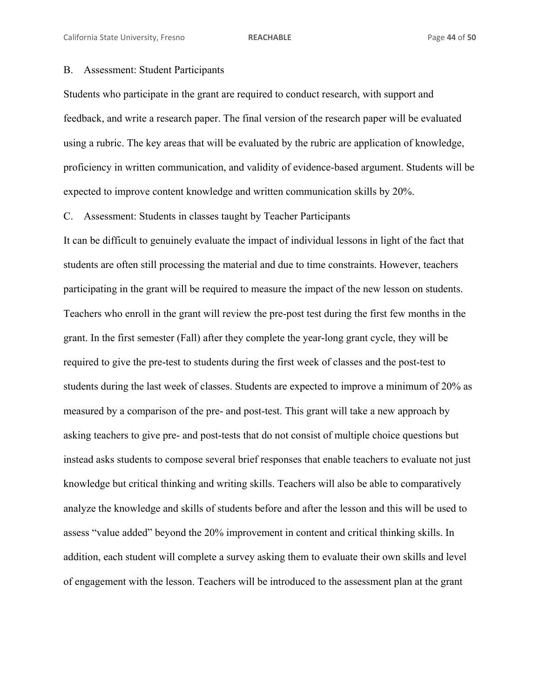## B. Assessment: Student Participants

Students who participate in the grant are required to conduct research, with support and feedback, and write a research paper. The final version of the research paper will be evaluated using a rubric. The key areas that will be evaluated by the rubric are application of knowledge, proficiency in written communication, and validity of evidence-based argument. Students will be expected to improve content knowledge and written communication skills by 20%.

C. Assessment: Students in classes taught by Teacher Participants

It can be difficult to genuinely evaluate the impact of individual lessons in light of the fact that students are often still processing the material and due to time constraints. However, teachers participating in the grant will be required to measure the impact of the new lesson on students. Teachers who enroll in the grant will review the pre-post test during the first few months in the grant. In the first semester (Fall) after they complete the year-long grant cycle, they will be required to give the pre-test to students during the first week of classes and the post-test to students during the last week of classes. Students are expected to improve a minimum of 20% as measured by a comparison of the pre- and post-test. This grant will take a new approach by asking teachers to give pre- and post-tests that do not consist of multiple choice questions but instead asks students to compose several brief responses that enable teachers to evaluate not just knowledge but critical thinking and writing skills. Teachers will also be able to comparatively analyze the knowledge and skills of students before and after the lesson and this will be used to assess "value added" beyond the 20% improvement in content and critical thinking skills. In addition, each student will complete a survey asking them to evaluate their own skills and level of engagement with the lesson. Teachers will be introduced to the assessment plan at the grant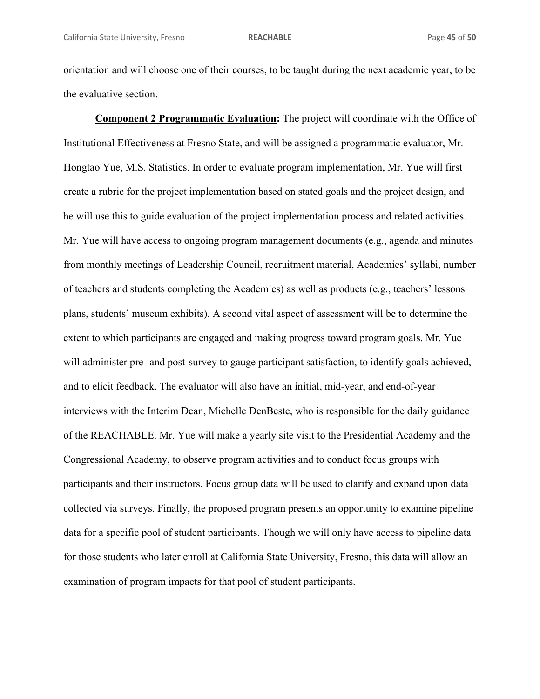orientation and will choose one of their courses, to be taught during the next academic year, to be the evaluative section.

**Component 2 Programmatic Evaluation:** The project will coordinate with the Office of Institutional Effectiveness at Fresno State, and will be assigned a programmatic evaluator, Mr. Hongtao Yue, M.S. Statistics. In order to evaluate program implementation, Mr. Yue will first create a rubric for the project implementation based on stated goals and the project design, and he will use this to guide evaluation of the project implementation process and related activities. Mr. Yue will have access to ongoing program management documents (e.g., agenda and minutes from monthly meetings of Leadership Council, recruitment material, Academies' syllabi, number of teachers and students completing the Academies) as well as products (e.g., teachers' lessons plans, students' museum exhibits). A second vital aspect of assessment will be to determine the extent to which participants are engaged and making progress toward program goals. Mr. Yue will administer pre- and post-survey to gauge participant satisfaction, to identify goals achieved, and to elicit feedback. The evaluator will also have an initial, mid-year, and end-of-year interviews with the Interim Dean, Michelle DenBeste, who is responsible for the daily guidance of the REACHABLE. Mr. Yue will make a yearly site visit to the Presidential Academy and the Congressional Academy, to observe program activities and to conduct focus groups with participants and their instructors. Focus group data will be used to clarify and expand upon data collected via surveys. Finally, the proposed program presents an opportunity to examine pipeline data for a specific pool of student participants. Though we will only have access to pipeline data for those students who later enroll at California State University, Fresno, this data will allow an examination of program impacts for that pool of student participants.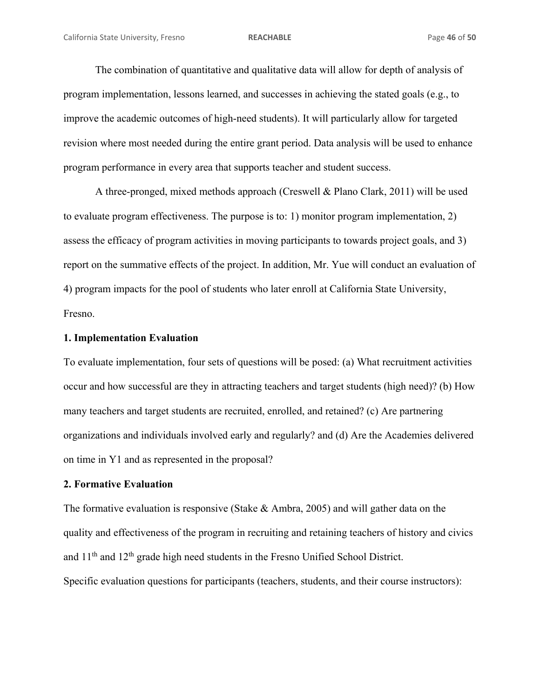The combination of quantitative and qualitative data will allow for depth of analysis of program implementation, lessons learned, and successes in achieving the stated goals (e.g., to improve the academic outcomes of high-need students). It will particularly allow for targeted revision where most needed during the entire grant period. Data analysis will be used to enhance program performance in every area that supports teacher and student success.

 A three-pronged, mixed methods approach (Creswell & Plano Clark, 2011) will be used to evaluate program effectiveness. The purpose is to: 1) monitor program implementation, 2) assess the efficacy of program activities in moving participants to towards project goals, and 3) report on the summative effects of the project. In addition, Mr. Yue will conduct an evaluation of 4) program impacts for the pool of students who later enroll at California State University, Fresno.

## **1. Implementation Evaluation**

To evaluate implementation, four sets of questions will be posed: (a) What recruitment activities occur and how successful are they in attracting teachers and target students (high need)? (b) How many teachers and target students are recruited, enrolled, and retained? (c) Are partnering organizations and individuals involved early and regularly? and (d) Are the Academies delivered on time in Y1 and as represented in the proposal?

## **2. Formative Evaluation**

The formative evaluation is responsive (Stake & Ambra, 2005) and will gather data on the quality and effectiveness of the program in recruiting and retaining teachers of history and civics and 11th and 12th grade high need students in the Fresno Unified School District. Specific evaluation questions for participants (teachers, students, and their course instructors):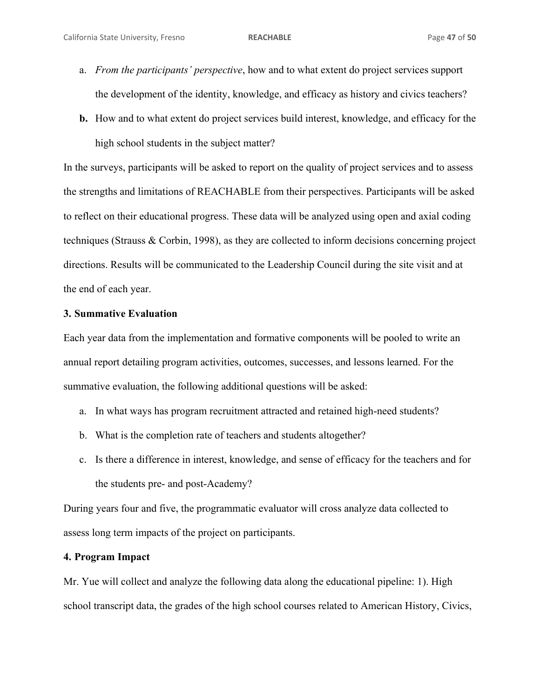- a. *From the participants' perspective*, how and to what extent do project services support the development of the identity, knowledge, and efficacy as history and civics teachers?
- **b.** How and to what extent do project services build interest, knowledge, and efficacy for the high school students in the subject matter?

In the surveys, participants will be asked to report on the quality of project services and to assess the strengths and limitations of REACHABLE from their perspectives. Participants will be asked to reflect on their educational progress. These data will be analyzed using open and axial coding techniques (Strauss & Corbin, 1998), as they are collected to inform decisions concerning project directions. Results will be communicated to the Leadership Council during the site visit and at the end of each year.

### **3. Summative Evaluation**

Each year data from the implementation and formative components will be pooled to write an annual report detailing program activities, outcomes, successes, and lessons learned. For the summative evaluation, the following additional questions will be asked:

- a. In what ways has program recruitment attracted and retained high-need students?
- b. What is the completion rate of teachers and students altogether?
- c. Is there a difference in interest, knowledge, and sense of efficacy for the teachers and for the students pre- and post-Academy?

During years four and five, the programmatic evaluator will cross analyze data collected to assess long term impacts of the project on participants.

# **4. Program Impact**

Mr. Yue will collect and analyze the following data along the educational pipeline: 1). High school transcript data, the grades of the high school courses related to American History, Civics,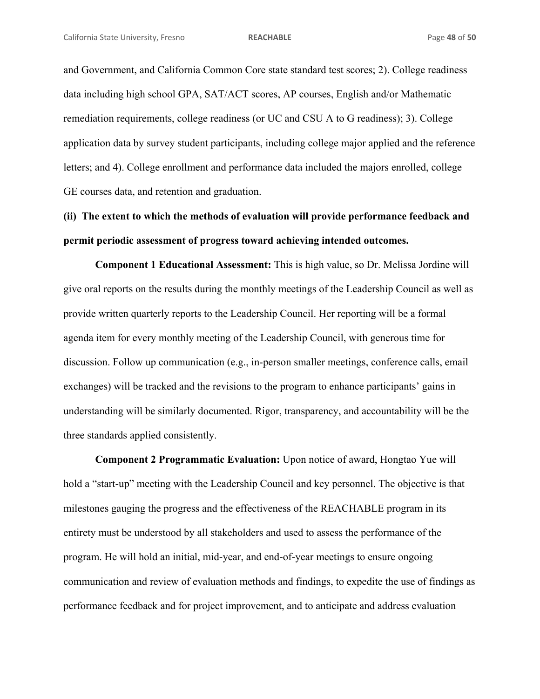and Government, and California Common Core state standard test scores; 2). College readiness data including high school GPA, SAT/ACT scores, AP courses, English and/or Mathematic remediation requirements, college readiness (or UC and CSU A to G readiness); 3). College application data by survey student participants, including college major applied and the reference letters; and 4). College enrollment and performance data included the majors enrolled, college GE courses data, and retention and graduation.

# **(ii) The extent to which the methods of evaluation will provide performance feedback and permit periodic assessment of progress toward achieving intended outcomes.**

**Component 1 Educational Assessment:** This is high value, so Dr. Melissa Jordine will give oral reports on the results during the monthly meetings of the Leadership Council as well as provide written quarterly reports to the Leadership Council. Her reporting will be a formal agenda item for every monthly meeting of the Leadership Council, with generous time for discussion. Follow up communication (e.g., in-person smaller meetings, conference calls, email exchanges) will be tracked and the revisions to the program to enhance participants' gains in understanding will be similarly documented. Rigor, transparency, and accountability will be the three standards applied consistently.

**Component 2 Programmatic Evaluation:** Upon notice of award, Hongtao Yue will hold a "start-up" meeting with the Leadership Council and key personnel. The objective is that milestones gauging the progress and the effectiveness of the REACHABLE program in its entirety must be understood by all stakeholders and used to assess the performance of the program. He will hold an initial, mid-year, and end-of-year meetings to ensure ongoing communication and review of evaluation methods and findings, to expedite the use of findings as performance feedback and for project improvement, and to anticipate and address evaluation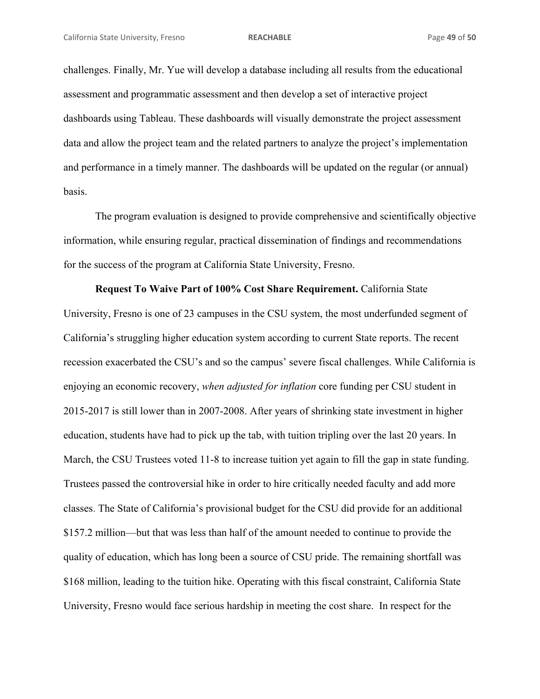challenges. Finally, Mr. Yue will develop a database including all results from the educational assessment and programmatic assessment and then develop a set of interactive project dashboards using Tableau. These dashboards will visually demonstrate the project assessment data and allow the project team and the related partners to analyze the project's implementation and performance in a timely manner. The dashboards will be updated on the regular (or annual) basis.

 The program evaluation is designed to provide comprehensive and scientifically objective information, while ensuring regular, practical dissemination of findings and recommendations for the success of the program at California State University, Fresno.

**Request To Waive Part of 100% Cost Share Requirement.** California State University, Fresno is one of 23 campuses in the CSU system, the most underfunded segment of California's struggling higher education system according to current State reports. The recent recession exacerbated the CSU's and so the campus' severe fiscal challenges. While California is enjoying an economic recovery, *when adjusted for inflation* core funding per CSU student in 2015-2017 is still lower than in 2007-2008. After years of shrinking state investment in higher education, students have had to pick up the tab, with tuition tripling over the last 20 years. In March, the CSU Trustees voted 11-8 to increase tuition yet again to fill the gap in state funding. Trustees passed the controversial hike in order to hire critically needed faculty and add more classes. The State of California's provisional budget for the CSU did provide for an additional \$157.2 million—but that was less than half of the amount needed to continue to provide the quality of education, which has long been a source of CSU pride. The remaining shortfall was \$168 million, leading to the tuition hike. Operating with this fiscal constraint, California State University, Fresno would face serious hardship in meeting the cost share. In respect for the